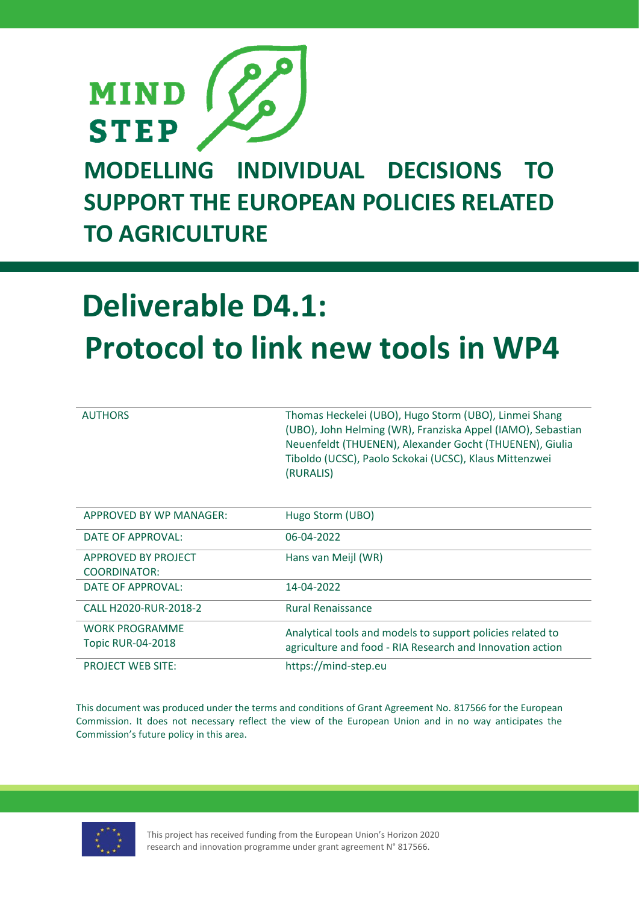

**MODELLING INDIVIDUAL DECISIONS TO SUPPORT THE EUROPEAN POLICIES RELATED TO AGRICULTURE**

# **Deliverable D4.1: Protocol to link new tools in WP4**

| <b>AUTHORS</b>           | Thomas Heckelei (UBO), Hugo Storm (UBO), Linmei Shang<br>(UBO), John Helming (WR), Franziska Appel (IAMO), Sebastian<br>Neuenfeldt (THUENEN), Alexander Gocht (THUENEN), Giulia<br>Tiboldo (UCSC), Paolo Sckokai (UCSC), Klaus Mittenzwei<br>(RURALIS) |
|--------------------------|--------------------------------------------------------------------------------------------------------------------------------------------------------------------------------------------------------------------------------------------------------|
| APPROVED BY WP MANAGER:  | Hugo Storm (UBO)                                                                                                                                                                                                                                       |
| DATE OF APPROVAL:        | 06-04-2022                                                                                                                                                                                                                                             |
| APPROVED BY PROJECT      | Hans van Meijl (WR)                                                                                                                                                                                                                                    |
| <b>COORDINATOR:</b>      |                                                                                                                                                                                                                                                        |
| DATE OF APPROVAL:        | 14-04-2022                                                                                                                                                                                                                                             |
| CALL H2020-RUR-2018-2    | <b>Rural Renaissance</b>                                                                                                                                                                                                                               |
| <b>WORK PROGRAMME</b>    | Analytical tools and models to support policies related to                                                                                                                                                                                             |
| <b>Topic RUR-04-2018</b> | agriculture and food - RIA Research and Innovation action                                                                                                                                                                                              |
| <b>PROJECT WEB SITE:</b> | https://mind-step.eu                                                                                                                                                                                                                                   |

This document was produced under the terms and conditions of Grant Agreement No. 817566 for the European Commission. It does not necessary reflect the view of the European Union and in no way anticipates the Commission's future policy in this area.



This project has received funding from the European Union's Horizon 2020 research and innovation programme under grant agreement N° 817566.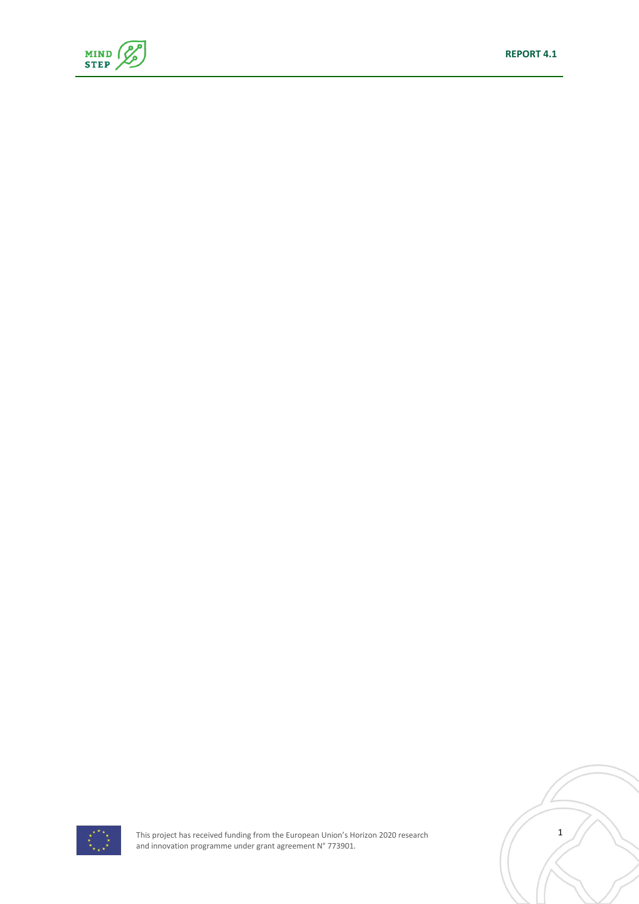





This project has received funding from the European Union's Horizon 2020 research  $\sqrt{2}$ and innovation programme under grant agreement N° 773901.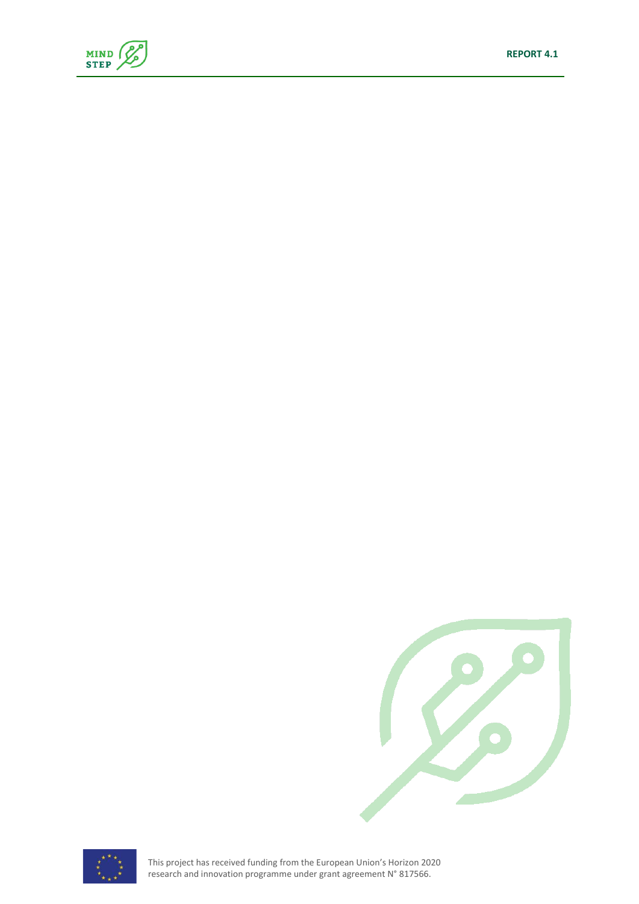





This project has received funding from the European Union's Horizon 2020 research and innovation programme under grant agreement N° 817566.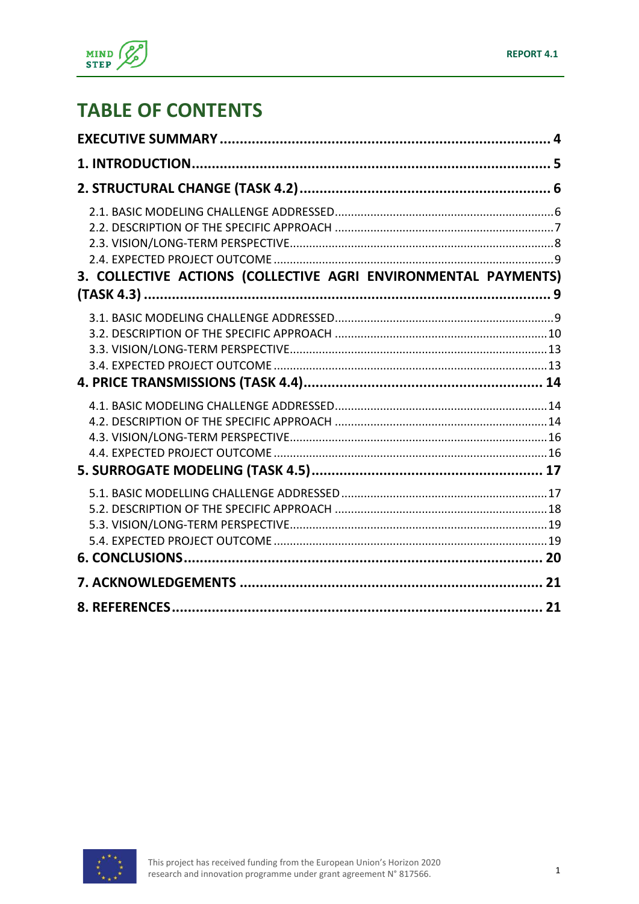

# **TABLE OF CONTENTS**

| 3. COLLECTIVE ACTIONS (COLLECTIVE AGRI ENVIRONMENTAL PAYMENTS) |  |
|----------------------------------------------------------------|--|
|                                                                |  |
|                                                                |  |
|                                                                |  |
|                                                                |  |
|                                                                |  |

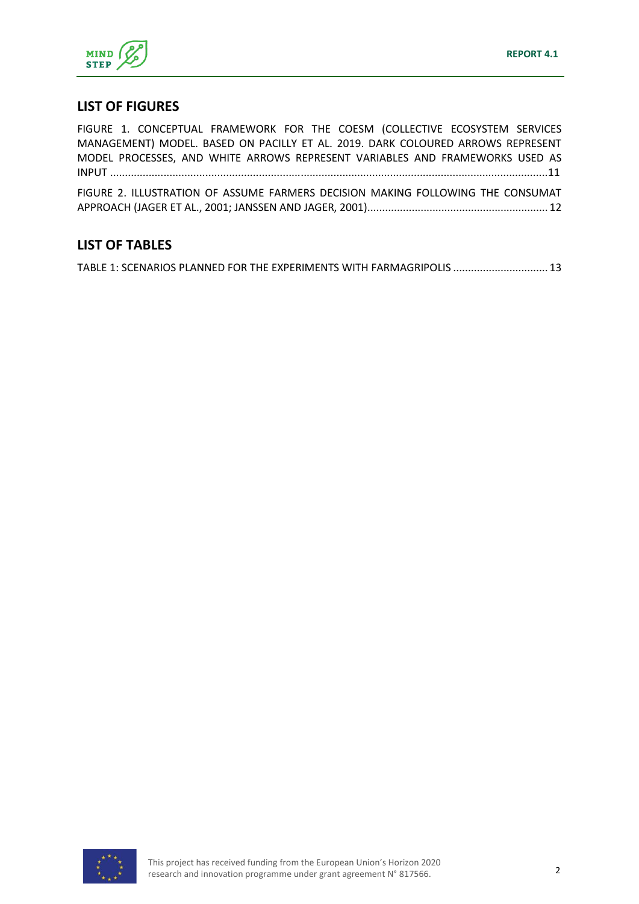

### **LIST OF FIGURES**

[FIGURE 1. CONCEPTUAL FRAMEWORK FOR THE COESM \(COLLECTIVE ECOSYSTEM SERVICES](#page-13-0)  [MANAGEMENT\) MODEL. BASED ON PACILLY ET AL. 2019. DARK COLOURED ARROWS REPRESENT](#page-13-0)  [MODEL PROCESSES, AND WHITE ARROWS REPRESENT VARIABLES AND FRAMEWORKS USED AS](#page-13-0)  [INPUT ...................................................................................................................................................11](#page-13-0) [FIGURE 2. ILLUSTRATION OF ASSUME FARMERS DECISION MAKING FOLLOWING THE CONSUMAT](#page-14-0)  [APPROACH \(JAGER ET AL., 2001; JANSSEN AND JAGER, 2001\).............................................................](#page-14-0) 12

### **LIST OF TABLES**

[TABLE 1: SCENARIOS PLANNED FOR THE EXPERIMENTS WITH FARMAGRIPOLIS](#page-15-2) ................................ 13

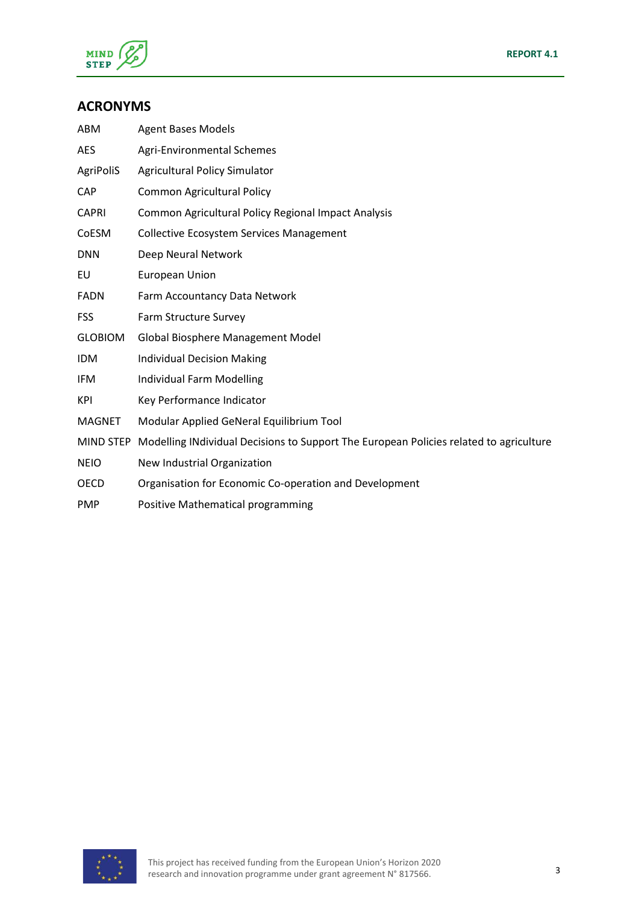

# **ACRONYMS**

| ABM            | <b>Agent Bases Models</b>                                                                        |
|----------------|--------------------------------------------------------------------------------------------------|
| <b>AES</b>     | Agri-Environmental Schemes                                                                       |
| AgriPoliS      | <b>Agricultural Policy Simulator</b>                                                             |
| <b>CAP</b>     | <b>Common Agricultural Policy</b>                                                                |
| <b>CAPRI</b>   | Common Agricultural Policy Regional Impact Analysis                                              |
| CoESM          | <b>Collective Ecosystem Services Management</b>                                                  |
| <b>DNN</b>     | Deep Neural Network                                                                              |
| EU             | European Union                                                                                   |
| <b>FADN</b>    | Farm Accountancy Data Network                                                                    |
| <b>FSS</b>     | Farm Structure Survey                                                                            |
| <b>GLOBIOM</b> | Global Biosphere Management Model                                                                |
| <b>IDM</b>     | <b>Individual Decision Making</b>                                                                |
| <b>IFM</b>     | Individual Farm Modelling                                                                        |
| <b>KPI</b>     | Key Performance Indicator                                                                        |
| <b>MAGNET</b>  | Modular Applied GeNeral Equilibrium Tool                                                         |
|                | MIND STEP Modelling INdividual Decisions to Support The European Policies related to agriculture |
| <b>NEIO</b>    | New Industrial Organization                                                                      |
| OECD           | Organisation for Economic Co-operation and Development                                           |
| <b>PMP</b>     | Positive Mathematical programming                                                                |
|                |                                                                                                  |

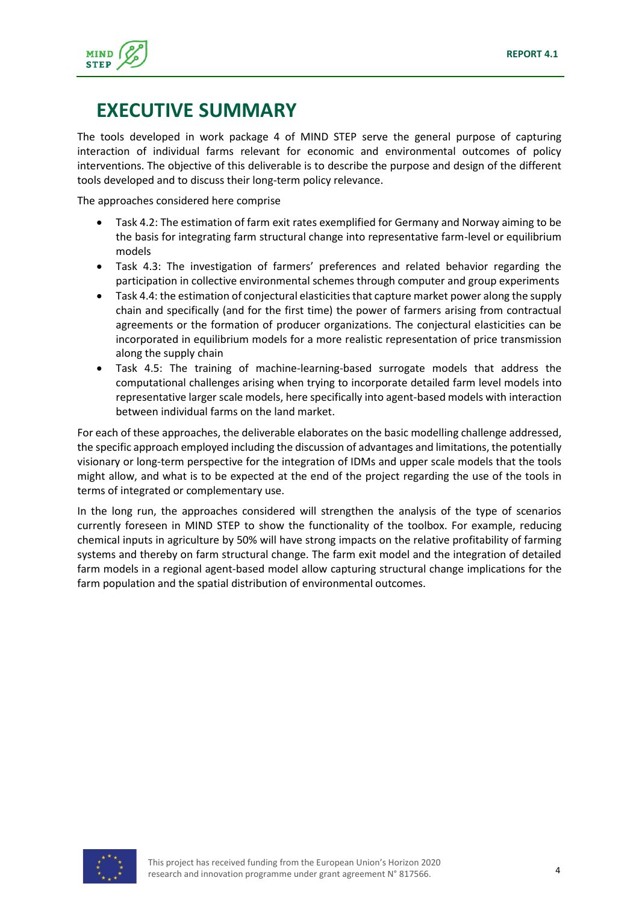

# <span id="page-6-0"></span>**EXECUTIVE SUMMARY**

The tools developed in work package 4 of MIND STEP serve the general purpose of capturing interaction of individual farms relevant for economic and environmental outcomes of policy interventions. The objective of this deliverable is to describe the purpose and design of the different tools developed and to discuss their long-term policy relevance.

The approaches considered here comprise

- Task 4.2: The estimation of farm exit rates exemplified for Germany and Norway aiming to be the basis for integrating farm structural change into representative farm-level or equilibrium models
- Task 4.3: The investigation of farmers' preferences and related behavior regarding the participation in collective environmental schemes through computer and group experiments
- Task 4.4: the estimation of conjectural elasticities that capture market power along the supply chain and specifically (and for the first time) the power of farmers arising from contractual agreements or the formation of producer organizations. The conjectural elasticities can be incorporated in equilibrium models for a more realistic representation of price transmission along the supply chain
- Task 4.5: The training of machine-learning-based surrogate models that address the computational challenges arising when trying to incorporate detailed farm level models into representative larger scale models, here specifically into agent-based models with interaction between individual farms on the land market.

For each of these approaches, the deliverable elaborates on the basic modelling challenge addressed, the specific approach employed including the discussion of advantages and limitations, the potentially visionary or long-term perspective for the integration of IDMs and upper scale models that the tools might allow, and what is to be expected at the end of the project regarding the use of the tools in terms of integrated or complementary use.

In the long run, the approaches considered will strengthen the analysis of the type of scenarios currently foreseen in MIND STEP to show the functionality of the toolbox. For example, reducing chemical inputs in agriculture by 50% will have strong impacts on the relative profitability of farming systems and thereby on farm structural change. The farm exit model and the integration of detailed farm models in a regional agent-based model allow capturing structural change implications for the farm population and the spatial distribution of environmental outcomes.

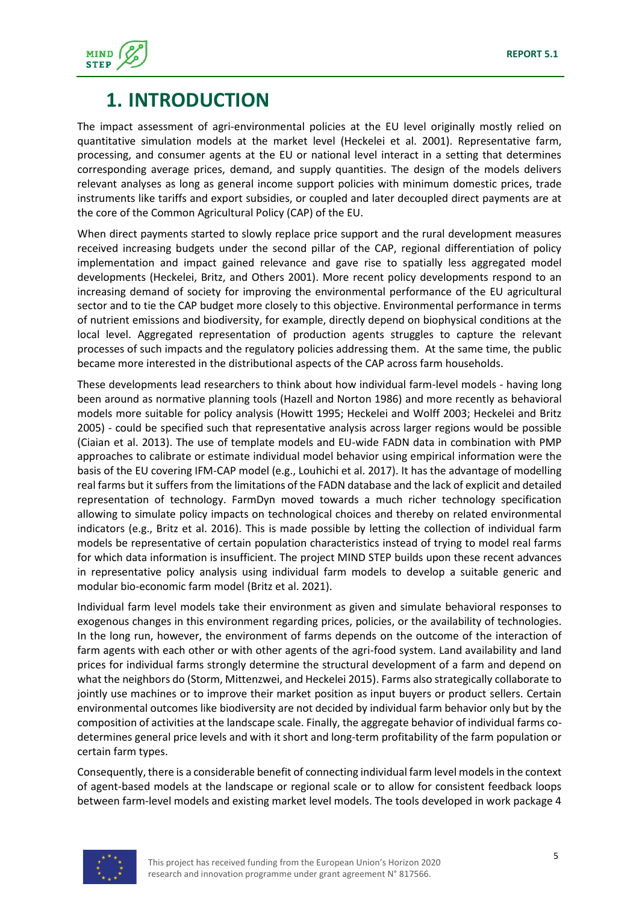

# <span id="page-7-0"></span>**1. INTRODUCTION**

The impact assessment of agri-environmental policies at the EU level originally mostly relied on quantitative simulation models at the market level [\(Heckelei et al. 2001\).](https://paperpile.com/c/cPgipi/DjGc) Representative farm, processing, and consumer agents at the EU or national level interact in a setting that determines corresponding average prices, demand, and supply quantities. The design of the models delivers relevant analyses as long as general income support policies with minimum domestic prices, trade instruments like tariffs and export subsidies, or coupled and later decoupled direct payments are at the core of the Common Agricultural Policy (CAP) of the EU.

When direct payments started to slowly replace price support and the rural development measures received increasing budgets under the second pillar of the CAP, regional differentiation of policy implementation and impact gained relevance and gave rise to spatially less aggregated model developments [\(Heckelei, Britz, and Others 2001\).](https://paperpile.com/c/cPgipi/Lyos) More recent policy developments respond to an increasing demand of society for improving the environmental performance of the EU agricultural sector and to tie the CAP budget more closely to this objective. Environmental performance in terms of nutrient emissions and biodiversity, for example, directly depend on biophysical conditions at the local level. Aggregated representation of production agents struggles to capture the relevant processes of such impacts and the regulatory policies addressing them. At the same time, the public became more interested in the distributional aspects of the CAP across farm households.

These developments lead researchers to think about how individual farm-level models - having long been around as normative planning tools [\(Hazell and Norton 1986\)](https://paperpile.com/c/cPgipi/POtt) and more recently as behavioral models more suitable for policy analysis (Howitt [1995; Heckelei and Wolff 2003; Heckelei and Britz](https://paperpile.com/c/cPgipi/Zmv3+SMPr+BIkn)  [2005\)](https://paperpile.com/c/cPgipi/Zmv3+SMPr+BIkn) - could be specified such that representative analysis across larger regions would be possible [\(Ciaian et al. 2013\).](https://paperpile.com/c/cPgipi/TaBc) The use of template models and EU-wide FADN data in combination with PMP approaches to calibrate or estimate individual model behavior using empirical information were the basis of the EU covering IFM-CAP model [\(e.g., Louhichi et al. 2017\).](https://paperpile.com/c/cPgipi/rInH/?prefix=e.g.%2C) It has the advantage of modelling real farms but it suffers from the limitations of the FADN database and the lack of explicit and detailed representation of technology. FarmDyn moved towards a much richer technology specification allowing to simulate policy impacts on technological choices and thereby on related environmental indicators [\(e.g., Britz et al. 2016\).](https://paperpile.com/c/cPgipi/FXpp/?prefix=e.g.%2C) This is made possible by letting the collection of individual farm models be representative of certain population characteristics instead of trying to model real farms for which data information is insufficient. The project MIND STEP builds upon these recent advances in representative policy analysis using individual farm models to develop a suitable generic and modular bio-economic farm model [\(Britz et al. 2021\).](https://paperpile.com/c/cPgipi/ujtM)

Individual farm level models take their environment as given and simulate behavioral responses to exogenous changes in this environment regarding prices, policies, or the availability of technologies. In the long run, however, the environment of farms depends on the outcome of the interaction of farm agents with each other or with other agents of the agri-food system. Land availability and land prices for individual farms strongly determine the structural development of a farm and depend on what the neighbors d[o \(Storm, Mittenzwei, and Heckelei 2015\).](https://paperpile.com/c/cPgipi/8Jtq) Farms also strategically collaborate to jointly use machines or to improve their market position as input buyers or product sellers. Certain environmental outcomes like biodiversity are not decided by individual farm behavior only but by the composition of activities at the landscape scale. Finally, the aggregate behavior of individual farms codetermines general price levels and with it short and long-term profitability of the farm population or certain farm types.

Consequently, there is a considerable benefit of connecting individual farm level models in the context of agent-based models at the landscape or regional scale or to allow for consistent feedback loops between farm-level models and existing market level models. The tools developed in work package 4

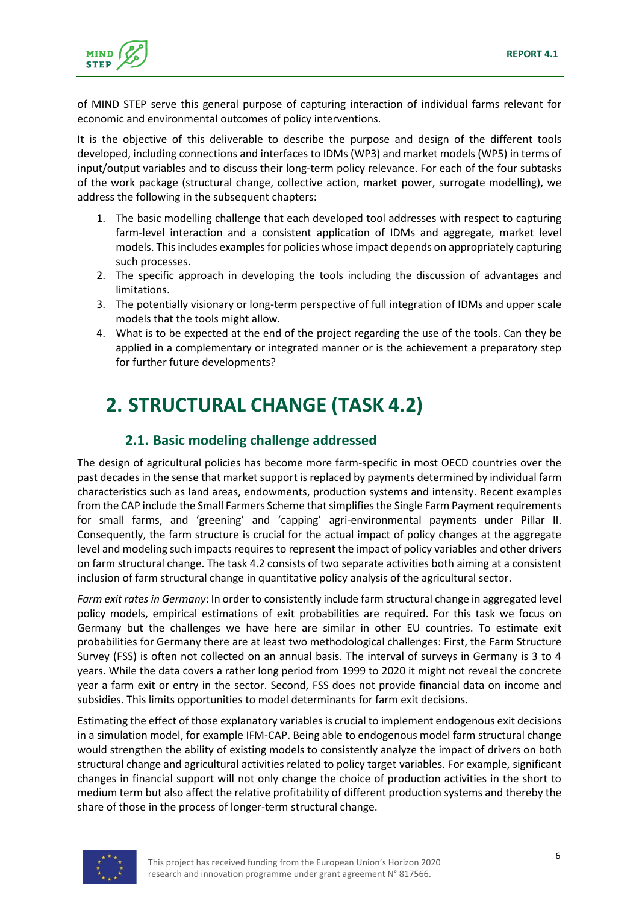

of MIND STEP serve this general purpose of capturing interaction of individual farms relevant for economic and environmental outcomes of policy interventions.

It is the objective of this deliverable to describe the purpose and design of the different tools developed, including connections and interfaces to IDMs (WP3) and market models (WP5) in terms of input/output variables and to discuss their long-term policy relevance. For each of the four subtasks of the work package (structural change, collective action, market power, surrogate modelling), we address the following in the subsequent chapters:

- 1. The basic modelling challenge that each developed tool addresses with respect to capturing farm-level interaction and a consistent application of IDMs and aggregate, market level models. This includes examples for policies whose impact depends on appropriately capturing such processes.
- 2. The specific approach in developing the tools including the discussion of advantages and limitations.
- 3. The potentially visionary or long-term perspective of full integration of IDMs and upper scale models that the tools might allow.
- 4. What is to be expected at the end of the project regarding the use of the tools. Can they be applied in a complementary or integrated manner or is the achievement a preparatory step for further future developments?

# <span id="page-8-0"></span>**2. STRUCTURAL CHANGE (TASK 4.2)**

### **2.1. Basic modeling challenge addressed**

<span id="page-8-1"></span>The design of agricultural policies has become more farm-specific in most OECD countries over the past decades in the sense that market support is replaced by payments determined by individual farm characteristics such as land areas, endowments, production systems and intensity. Recent examples from the CAP include the Small Farmers Scheme that simplifies the Single Farm Payment requirements for small farms, and 'greening' and 'capping' agri-environmental payments under Pillar II. Consequently, the farm structure is crucial for the actual impact of policy changes at the aggregate level and modeling such impacts requires to represent the impact of policy variables and other drivers on farm structural change. The task 4.2 consists of two separate activities both aiming at a consistent inclusion of farm structural change in quantitative policy analysis of the agricultural sector.

*Farm exit rates in Germany*: In order to consistently include farm structural change in aggregated level policy models, empirical estimations of exit probabilities are required. For this task we focus on Germany but the challenges we have here are similar in other EU countries. To estimate exit probabilities for Germany there are at least two methodological challenges: First, the Farm Structure Survey (FSS) is often not collected on an annual basis. The interval of surveys in Germany is 3 to 4 years. While the data covers a rather long period from 1999 to 2020 it might not reveal the concrete year a farm exit or entry in the sector. Second, FSS does not provide financial data on income and subsidies. This limits opportunities to model determinants for farm exit decisions.

Estimating the effect of those explanatory variables is crucial to implement endogenous exit decisions in a simulation model, for example IFM-CAP. Being able to endogenous model farm structural change would strengthen the ability of existing models to consistently analyze the impact of drivers on both structural change and agricultural activities related to policy target variables. For example, significant changes in financial support will not only change the choice of production activities in the short to medium term but also affect the relative profitability of different production systems and thereby the share of those in the process of longer-term structural change.

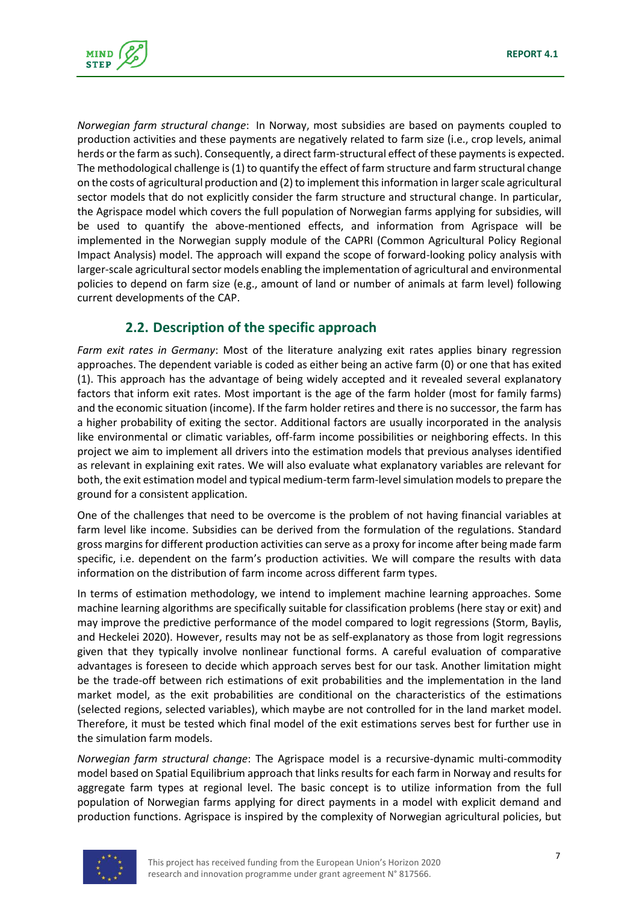

*Norwegian farm structural change*: In Norway, most subsidies are based on payments coupled to production activities and these payments are negatively related to farm size (i.e., crop levels, animal herds or the farm as such). Consequently, a direct farm-structural effect of these payments is expected. The methodological challenge is (1) to quantify the effect of farm structure and farm structural change on the costs of agricultural production and (2) to implement this information in larger scale agricultural sector models that do not explicitly consider the farm structure and structural change. In particular, the Agrispace model which covers the full population of Norwegian farms applying for subsidies, will be used to quantify the above-mentioned effects, and information from Agrispace will be implemented in the Norwegian supply module of the CAPRI (Common Agricultural Policy Regional Impact Analysis) model. The approach will expand the scope of forward-looking policy analysis with larger-scale agricultural sector models enabling the implementation of agricultural and environmental policies to depend on farm size (e.g., amount of land or number of animals at farm level) following current developments of the CAP.

# **2.2. Description of the specific approach**

<span id="page-9-0"></span>*Farm exit rates in Germany*: Most of the literature analyzing exit rates applies binary regression approaches. The dependent variable is coded as either being an active farm (0) or one that has exited (1). This approach has the advantage of being widely accepted and it revealed several explanatory factors that inform exit rates. Most important is the age of the farm holder (most for family farms) and the economic situation (income). If the farm holder retires and there is no successor, the farm has a higher probability of exiting the sector. Additional factors are usually incorporated in the analysis like environmental or climatic variables, off-farm income possibilities or neighboring effects. In this project we aim to implement all drivers into the estimation models that previous analyses identified as relevant in explaining exit rates. We will also evaluate what explanatory variables are relevant for both, the exit estimation model and typical medium-term farm-level simulation models to prepare the ground for a consistent application.

One of the challenges that need to be overcome is the problem of not having financial variables at farm level like income. Subsidies can be derived from the formulation of the regulations. Standard gross margins for different production activities can serve as a proxy for income after being made farm specific, i.e. dependent on the farm's production activities. We will compare the results with data information on the distribution of farm income across different farm types.

In terms of estimation methodology, we intend to implement machine learning approaches. Some machine learning algorithms are specifically suitable for classification problems (here stay or exit) and may improve the predictive performance of the model compared to logit regressions [\(Storm, Baylis,](https://paperpile.com/c/cPgipi/KMdF)  [and Heckelei 2020\).](https://paperpile.com/c/cPgipi/KMdF) However, results may not be as self-explanatory as those from logit regressions given that they typically involve nonlinear functional forms. A careful evaluation of comparative advantages is foreseen to decide which approach serves best for our task. Another limitation might be the trade-off between rich estimations of exit probabilities and the implementation in the land market model, as the exit probabilities are conditional on the characteristics of the estimations (selected regions, selected variables), which maybe are not controlled for in the land market model. Therefore, it must be tested which final model of the exit estimations serves best for further use in the simulation farm models.

*Norwegian farm structural change*: The Agrispace model is a recursive-dynamic multi-commodity model based on Spatial Equilibrium approach that links results for each farm in Norway and results for aggregate farm types at regional level. The basic concept is to utilize information from the full population of Norwegian farms applying for direct payments in a model with explicit demand and production functions. Agrispace is inspired by the complexity of Norwegian agricultural policies, but

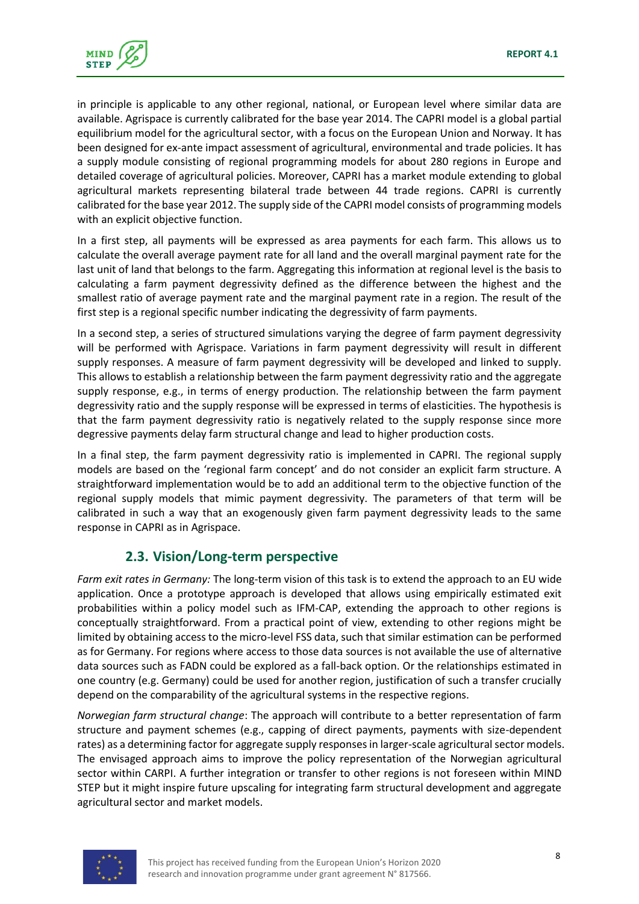

in principle is applicable to any other regional, national, or European level where similar data are available. Agrispace is currently calibrated for the base year 2014. The CAPRI model is a global partial equilibrium model for the agricultural sector, with a focus on the European Union and Norway. It has been designed for ex-ante impact assessment of agricultural, environmental and trade policies. It has a supply module consisting of regional programming models for about 280 regions in Europe and detailed coverage of agricultural policies. Moreover, CAPRI has a market module extending to global agricultural markets representing bilateral trade between 44 trade regions. CAPRI is currently calibrated for the base year 2012. The supply side of the CAPRI model consists of programming models with an explicit objective function.

In a first step, all payments will be expressed as area payments for each farm. This allows us to calculate the overall average payment rate for all land and the overall marginal payment rate for the last unit of land that belongs to the farm. Aggregating this information at regional level is the basis to calculating a farm payment degressivity defined as the difference between the highest and the smallest ratio of average payment rate and the marginal payment rate in a region. The result of the first step is a regional specific number indicating the degressivity of farm payments.

In a second step, a series of structured simulations varying the degree of farm payment degressivity will be performed with Agrispace. Variations in farm payment degressivity will result in different supply responses. A measure of farm payment degressivity will be developed and linked to supply. This allows to establish a relationship between the farm payment degressivity ratio and the aggregate supply response, e.g., in terms of energy production. The relationship between the farm payment degressivity ratio and the supply response will be expressed in terms of elasticities. The hypothesis is that the farm payment degressivity ratio is negatively related to the supply response since more degressive payments delay farm structural change and lead to higher production costs.

In a final step, the farm payment degressivity ratio is implemented in CAPRI. The regional supply models are based on the 'regional farm concept' and do not consider an explicit farm structure. A straightforward implementation would be to add an additional term to the objective function of the regional supply models that mimic payment degressivity. The parameters of that term will be calibrated in such a way that an exogenously given farm payment degressivity leads to the same response in CAPRI as in Agrispace.

### **2.3. Vision/Long-term perspective**

<span id="page-10-0"></span>*Farm exit rates in Germany:* The long-term vision of this task is to extend the approach to an EU wide application. Once a prototype approach is developed that allows using empirically estimated exit probabilities within a policy model such as IFM-CAP, extending the approach to other regions is conceptually straightforward. From a practical point of view, extending to other regions might be limited by obtaining access to the micro-level FSS data, such that similar estimation can be performed as for Germany. For regions where access to those data sources is not available the use of alternative data sources such as FADN could be explored as a fall-back option. Or the relationships estimated in one country (e.g. Germany) could be used for another region, justification of such a transfer crucially depend on the comparability of the agricultural systems in the respective regions.

*Norwegian farm structural change*: The approach will contribute to a better representation of farm structure and payment schemes (e.g., capping of direct payments, payments with size-dependent rates) as a determining factor for aggregate supply responses in larger-scale agricultural sector models. The envisaged approach aims to improve the policy representation of the Norwegian agricultural sector within CARPI. A further integration or transfer to other regions is not foreseen within MIND STEP but it might inspire future upscaling for integrating farm structural development and aggregate agricultural sector and market models.

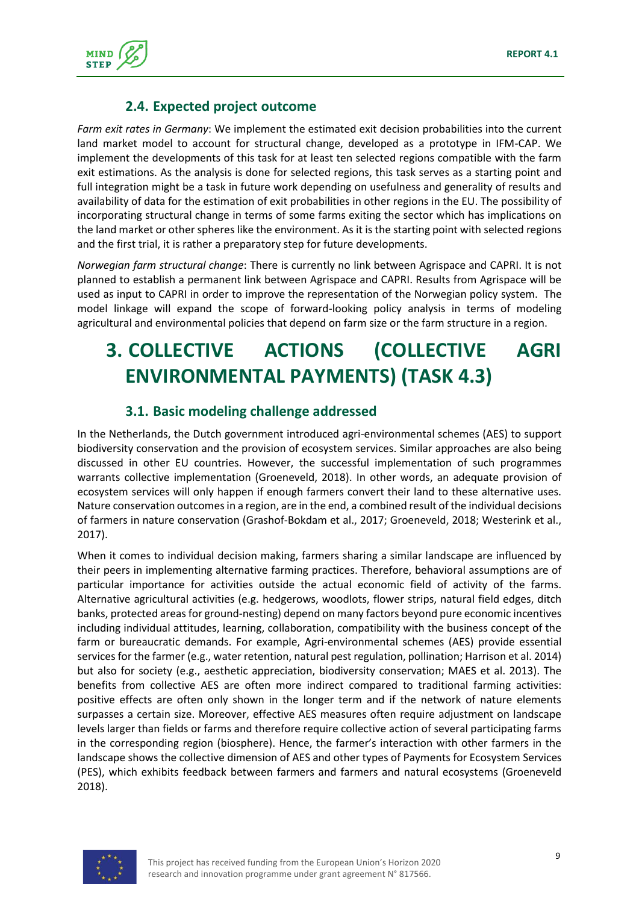

# **2.4. Expected project outcome**

<span id="page-11-0"></span>*Farm exit rates in Germany*: We implement the estimated exit decision probabilities into the current land market model to account for structural change, developed as a prototype in IFM-CAP. We implement the developments of this task for at least ten selected regions compatible with the farm exit estimations. As the analysis is done for selected regions, this task serves as a starting point and full integration might be a task in future work depending on usefulness and generality of results and availability of data for the estimation of exit probabilities in other regions in the EU. The possibility of incorporating structural change in terms of some farms exiting the sector which has implications on the land market or other spheres like the environment. As it is the starting point with selected regions and the first trial, it is rather a preparatory step for future developments.

*Norwegian farm structural change*: There is currently no link between Agrispace and CAPRI. It is not planned to establish a permanent link between Agrispace and CAPRI. Results from Agrispace will be used as input to CAPRI in order to improve the representation of the Norwegian policy system. The model linkage will expand the scope of forward-looking policy analysis in terms of modeling agricultural and environmental policies that depend on farm size or the farm structure in a region.

# <span id="page-11-1"></span>**3. COLLECTIVE ACTIONS (COLLECTIVE AGRI ENVIRONMENTAL PAYMENTS) (TASK 4.3)**

# **3.1. Basic modeling challenge addressed**

<span id="page-11-2"></span>In the Netherlands, the Dutch government introduced agri-environmental schemes (AES) to support biodiversity conservation and the provision of ecosystem services. Similar approaches are also being discussed in other EU countries. However, the successful implementation of such programmes warrants collective implementation (Groeneveld, 2018). In other words, an adequate provision of ecosystem services will only happen if enough farmers convert their land to these alternative uses. Nature conservation outcomes in a region, are in the end, a combined result of the individual decisions of farmers in nature conservation (Grashof-Bokdam et al., 2017; Groeneveld, 2018; Westerink et al., 2017).

When it comes to individual decision making, farmers sharing a similar landscape are influenced by their peers in implementing alternative farming practices. Therefore, behavioral assumptions are of particular importance for activities outside the actual economic field of activity of the farms. Alternative agricultural activities (e.g. hedgerows, woodlots, flower strips, natural field edges, ditch banks, protected areas for ground-nesting) depend on many factors beyond pure economic incentives including individual attitudes, learning, collaboration, compatibility with the business concept of the farm or bureaucratic demands. For example, Agri-environmental schemes (AES) provide essential services for the farmer (e.g., water retention, natural pest regulation, pollination; Harrison et al. 2014) but also for society (e.g., aesthetic appreciation, biodiversity conservation; MAES et al. 2013). The benefits from collective AES are often more indirect compared to traditional farming activities: positive effects are often only shown in the longer term and if the network of nature elements surpasses a certain size. Moreover, effective AES measures often require adjustment on landscape levels larger than fields or farms and therefore require collective action of several participating farms in the corresponding region (biosphere). Hence, the farmer's interaction with other farmers in the landscape shows the collective dimension of AES and other types of Payments for Ecosystem Services (PES), which exhibits feedback between farmers and farmers and natural ecosystems (Groeneveld 2018).

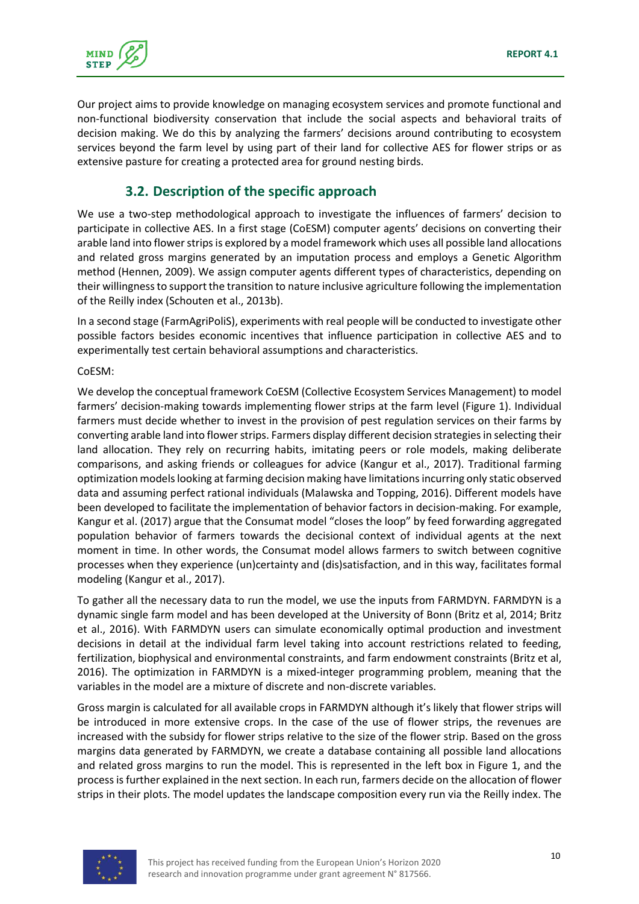

Our project aims to provide knowledge on managing ecosystem services and promote functional and non-functional biodiversity conservation that include the social aspects and behavioral traits of decision making. We do this by analyzing the farmers' decisions around contributing to ecosystem services beyond the farm level by using part of their land for collective AES for flower strips or as extensive pasture for creating a protected area for ground nesting birds.

# **3.2. Description of the specific approach**

<span id="page-12-0"></span>We use a two-step methodological approach to investigate the influences of farmers' decision to participate in collective AES. In a first stage (CoESM) computer agents' decisions on converting their arable land into flower strips is explored by a model framework which uses all possible land allocations and related gross margins generated by an imputation process and employs a Genetic Algorithm method (Hennen, 2009). We assign computer agents different types of characteristics, depending on their willingness to support the transition to nature inclusive agriculture following the implementation of the Reilly index (Schouten et al., 2013b).

In a second stage (FarmAgriPoliS), experiments with real people will be conducted to investigate other possible factors besides economic incentives that influence participation in collective AES and to experimentally test certain behavioral assumptions and characteristics.

#### CoESM:

We develop the conceptual framework CoESM (Collective Ecosystem Services Management) to model farmers' decision-making towards implementing flower strips at the farm level (Figure 1). Individual farmers must decide whether to invest in the provision of pest regulation services on their farms by converting arable land into flower strips. Farmers display different decision strategies in selecting their land allocation. They rely on recurring habits, imitating peers or role models, making deliberate comparisons, and asking friends or colleagues for advice (Kangur et al., 2017). Traditional farming optimization models looking at farming decision making have limitations incurring only static observed data and assuming perfect rational individuals (Malawska and Topping, 2016). Different models have been developed to facilitate the implementation of behavior factors in decision-making. For example, Kangur et al. (2017) argue that the Consumat model "closes the loop" by feed forwarding aggregated population behavior of farmers towards the decisional context of individual agents at the next moment in time. In other words, the Consumat model allows farmers to switch between cognitive processes when they experience (un)certainty and (dis)satisfaction, and in this way, facilitates formal modeling (Kangur et al., 2017).

To gather all the necessary data to run the model, we use the inputs from FARMDYN. FARMDYN is a dynamic single farm model and has been developed at the University of Bonn (Britz et al, 2014; Britz et al., 2016). With FARMDYN users can simulate economically optimal production and investment decisions in detail at the individual farm level taking into account restrictions related to feeding, fertilization, biophysical and environmental constraints, and farm endowment constraints (Britz et al, 2016). The optimization in FARMDYN is a mixed-integer programming problem, meaning that the variables in the model are a mixture of discrete and non-discrete variables.

Gross margin is calculated for all available crops in FARMDYN although it's likely that flower strips will be introduced in more extensive crops. In the case of the use of flower strips, the revenues are increased with the subsidy for flower strips relative to the size of the flower strip. Based on the gross margins data generated by FARMDYN, we create a database containing all possible land allocations and related gross margins to run the model. This is represented in the left box in Figure 1, and the process is further explained in the next section. In each run, farmers decide on the allocation of flower strips in their plots. The model updates the landscape composition every run via the Reilly index. The

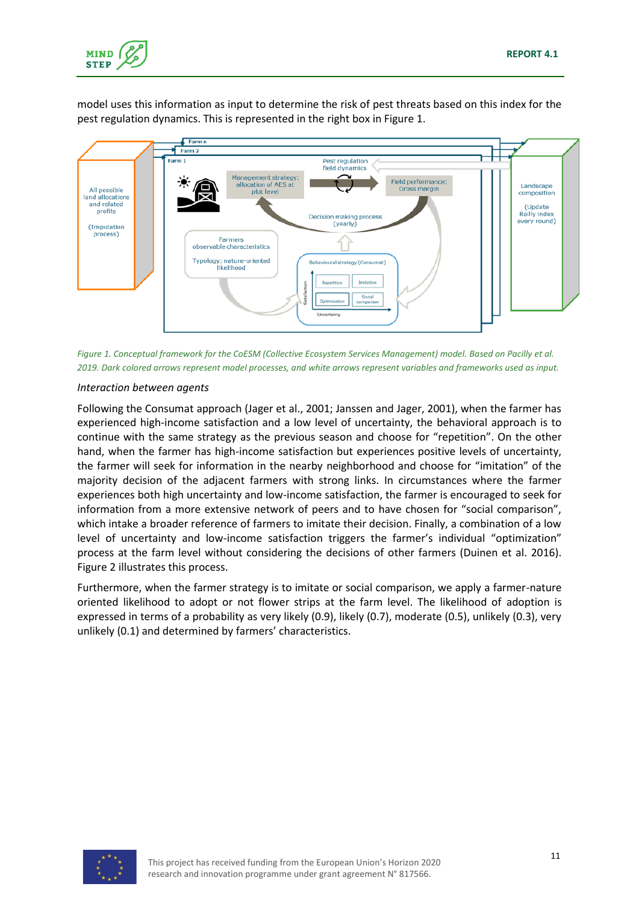

model uses this information as input to determine the risk of pest threats based on this index for the pest regulation dynamics. This is represented in the right box in Figure 1.



<span id="page-13-0"></span>Figure 1. Conceptual framework for the CoESM (Collective Ecosystem Services Management) model. Based on Pacilly et al. *2019. Dark colored arrows represent model processes, and white arrows represent variables and frameworks used as input.*

#### *Interaction between agents*

Following the Consumat approach (Jager et al., 2001; Janssen and Jager, 2001), when the farmer has experienced high-income satisfaction and a low level of uncertainty, the behavioral approach is to continue with the same strategy as the previous season and choose for "repetition". On the other hand, when the farmer has high-income satisfaction but experiences positive levels of uncertainty, the farmer will seek for information in the nearby neighborhood and choose for "imitation" of the majority decision of the adjacent farmers with strong links. In circumstances where the farmer experiences both high uncertainty and low-income satisfaction, the farmer is encouraged to seek for information from a more extensive network of peers and to have chosen for "social comparison", which intake a broader reference of farmers to imitate their decision. Finally, a combination of a low level of uncertainty and low-income satisfaction triggers the farmer's individual "optimization" process at the farm level without considering the decisions of other farmers (Duinen et al. 2016). Figure 2 illustrates this process.

Furthermore, when the farmer strategy is to imitate or social comparison, we apply a farmer-nature oriented likelihood to adopt or not flower strips at the farm level. The likelihood of adoption is expressed in terms of a probability as very likely (0.9), likely (0.7), moderate (0.5), unlikely (0.3), very unlikely (0.1) and determined by farmers' characteristics.

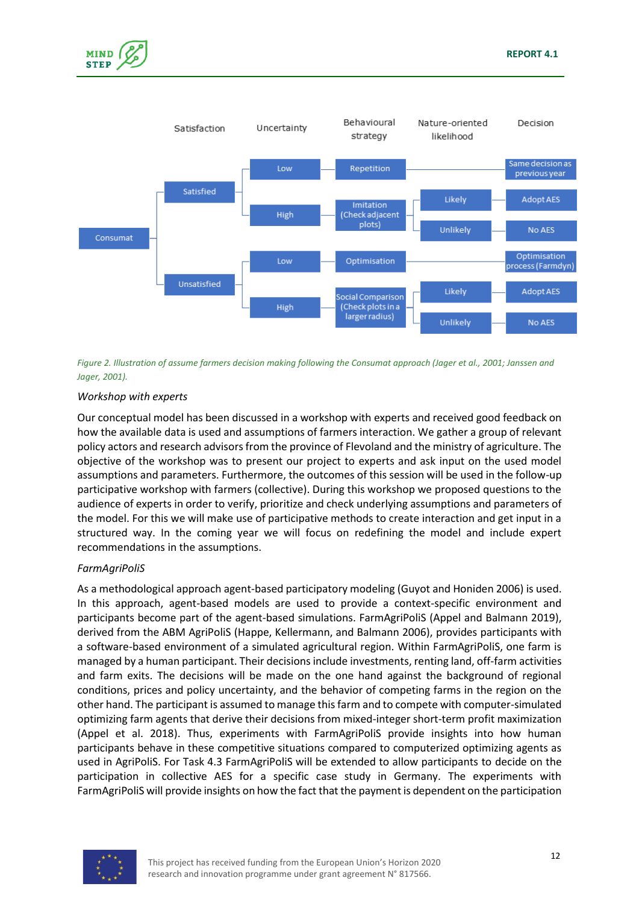



<span id="page-14-0"></span>*Figure 2. Illustration of assume farmers decision making following the Consumat approach (Jager et al., 2001; Janssen and Jager, 2001).*

#### *Workshop with experts*

Our conceptual model has been discussed in a workshop with experts and received good feedback on how the available data is used and assumptions of farmers interaction. We gather a group of relevant policy actors and research advisors from the province of Flevoland and the ministry of agriculture. The objective of the workshop was to present our project to experts and ask input on the used model assumptions and parameters. Furthermore, the outcomes of this session will be used in the follow-up participative workshop with farmers (collective). During this workshop we proposed questions to the audience of experts in order to verify, prioritize and check underlying assumptions and parameters of the model. For this we will make use of participative methods to create interaction and get input in a structured way. In the coming year we will focus on redefining the model and include expert recommendations in the assumptions.

#### *FarmAgriPoliS*

As a methodological approach agent-based participatory modelin[g \(Guyot and Honiden 2006\)](https://paperpile.com/c/cPgipi/lIsU) is used. In this approach, agent-based models are used to provide a context-specific environment and participants become part of the agent-based simulations. FarmAgriPoliS [\(Appel and Balmann 2019\),](https://paperpile.com/c/cPgipi/4dVC) derived from the ABM AgriPoliS [\(Happe, Kellermann, and Balmann 2006\),](https://paperpile.com/c/cPgipi/mNAc) provides participants with a software-based environment of a simulated agricultural region. Within FarmAgriPoliS, one farm is managed by a human participant. Their decisions include investments, renting land, off-farm activities and farm exits. The decisions will be made on the one hand against the background of regional conditions, prices and policy uncertainty, and the behavior of competing farms in the region on the other hand. The participant is assumed to manage this farm and to compete with computer-simulated optimizing farm agents that derive their decisions from mixed-integer short-term profit maximization [\(Appel et al. 2018\).](https://paperpile.com/c/cPgipi/gVZQ) Thus, experiments with FarmAgriPoliS provide insights into how human participants behave in these competitive situations compared to computerized optimizing agents as used in AgriPoliS. For Task 4.3 FarmAgriPoliS will be extended to allow participants to decide on the participation in collective AES for a specific case study in Germany. The experiments with FarmAgriPoliS will provide insights on how the fact that the payment is dependent on the participation

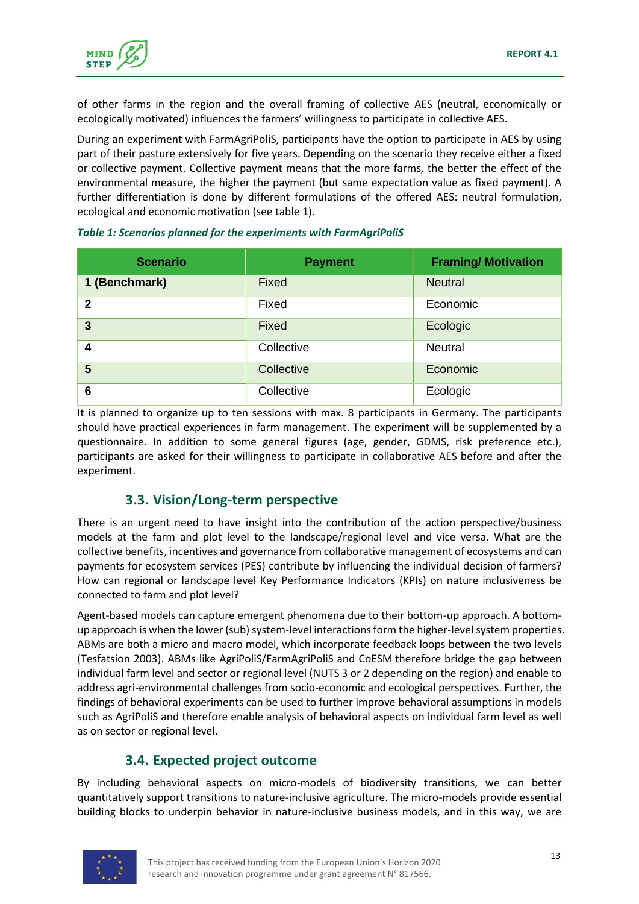

of other farms in the region and the overall framing of collective AES (neutral, economically or ecologically motivated) influences the farmers' willingness to participate in collective AES.

During an experiment with FarmAgriPoliS, participants have the option to participate in AES by using part of their pasture extensively for five years. Depending on the scenario they receive either a fixed or collective payment. Collective payment means that the more farms, the better the effect of the environmental measure, the higher the payment (but same expectation value as fixed payment). A further differentiation is done by different formulations of the offered AES: neutral formulation, ecological and economic motivation (see table 1).

| <b>Scenario</b> | <b>Payment</b> | <b>Framing/ Motivation</b> |
|-----------------|----------------|----------------------------|
| 1 (Benchmark)   | Fixed          | <b>Neutral</b>             |
| $\overline{2}$  | Fixed          | Economic                   |
| 3               | Fixed          | Ecologic                   |
| $\overline{4}$  | Collective     | <b>Neutral</b>             |
| 5               | Collective     | Economic                   |
| 6               | Collective     | Ecologic                   |

#### <span id="page-15-2"></span>*Table 1: Scenarios planned for the experiments with FarmAgriPoliS*

It is planned to organize up to ten sessions with max. 8 participants in Germany. The participants should have practical experiences in farm management. The experiment will be supplemented by a questionnaire. In addition to some general figures (age, gender, GDMS, risk preference etc.), participants are asked for their willingness to participate in collaborative AES before and after the experiment.

### **3.3. Vision/Long-term perspective**

<span id="page-15-0"></span>There is an urgent need to have insight into the contribution of the action perspective/business models at the farm and plot level to the landscape/regional level and vice versa. What are the collective benefits, incentives and governance from collaborative management of ecosystems and can payments for ecosystem services (PES) contribute by influencing the individual decision of farmers? How can regional or landscape level Key Performance Indicators (KPIs) on nature inclusiveness be connected to farm and plot level?

Agent-based models can capture emergent phenomena due to their bottom-up approach. A bottomup approach is when the lower (sub) system-level interactions form the higher-level system properties. ABMs are both a micro and macro model, which incorporate feedback loops between the two levels [\(Tesfatsion 2003\).](https://paperpile.com/c/cPgipi/sosY) ABMs like AgriPoliS/FarmAgriPoliS and CoESM therefore bridge the gap between individual farm level and sector or regional level (NUTS 3 or 2 depending on the region) and enable to address agri-environmental challenges from socio-economic and ecological perspectives. Further, the findings of behavioral experiments can be used to further improve behavioral assumptions in models such as AgriPoliS and therefore enable analysis of behavioral aspects on individual farm level as well as on sector or regional level.

# **3.4. Expected project outcome**

<span id="page-15-1"></span>By including behavioral aspects on micro-models of biodiversity transitions, we can better quantitatively support transitions to nature-inclusive agriculture. The micro-models provide essential building blocks to underpin behavior in nature-inclusive business models, and in this way, we are

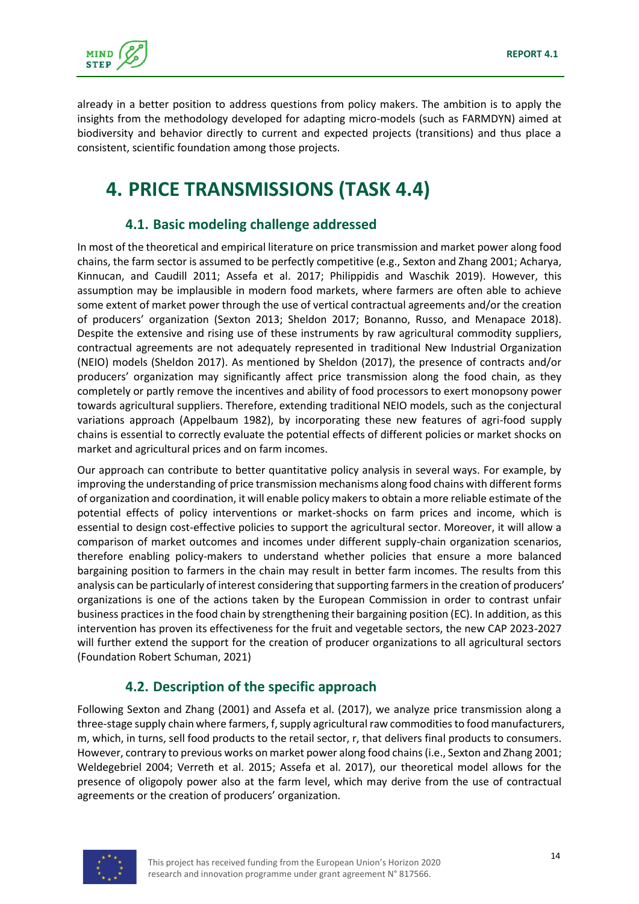

already in a better position to address questions from policy makers. The ambition is to apply the insights from the methodology developed for adapting micro-models (such as FARMDYN) aimed at biodiversity and behavior directly to current and expected projects (transitions) and thus place a consistent, scientific foundation among those projects.

# <span id="page-16-0"></span>**4. PRICE TRANSMISSIONS (TASK 4.4)**

# **4.1. Basic modeling challenge addressed**

<span id="page-16-1"></span>In most of the theoretical and empirical literature on price transmission and market power along food chains, the farm sector is assumed to be perfectly competitive (e.g., Sexton and Zhang 2001; Acharya, Kinnucan, and Caudill 2011; Assefa et al. 2017; Philippidis and Waschik 2019). However, this assumption may be implausible in modern food markets, where farmers are often able to achieve some extent of market power through the use of vertical contractual agreements and/or the creation of producers' organization (Sexton 2013; Sheldon 2017; Bonanno, Russo, and Menapace 2018). Despite the extensive and rising use of these instruments by raw agricultural commodity suppliers, contractual agreements are not adequately represented in traditional New Industrial Organization (NEIO) models (Sheldon 2017). As mentioned by Sheldon (2017), the presence of contracts and/or producers' organization may significantly affect price transmission along the food chain, as they completely or partly remove the incentives and ability of food processors to exert monopsony power towards agricultural suppliers. Therefore, extending traditional NEIO models, such as the conjectural variations approach (Appelbaum 1982), by incorporating these new features of agri-food supply chains is essential to correctly evaluate the potential effects of different policies or market shocks on market and agricultural prices and on farm incomes.

Our approach can contribute to better quantitative policy analysis in several ways. For example, by improving the understanding of price transmission mechanisms along food chains with different forms of organization and coordination, it will enable policy makers to obtain a more reliable estimate of the potential effects of policy interventions or market-shocks on farm prices and income, which is essential to design cost-effective policies to support the agricultural sector. Moreover, it will allow a comparison of market outcomes and incomes under different supply-chain organization scenarios, therefore enabling policy-makers to understand whether policies that ensure a more balanced bargaining position to farmers in the chain may result in better farm incomes. The results from this analysis can be particularly of interest considering that supporting farmers in the creation of producers' organizations is one of the actions taken by the European Commission in order to contrast unfair business practices in the food chain by strengthening their bargaining position (EC). In addition, as this intervention has proven its effectiveness for the fruit and vegetable sectors, the new CAP 2023-2027 will further extend the support for the creation of producer organizations to all agricultural sectors (Foundation Robert Schuman, 2021)

# **4.2. Description of the specific approach**

<span id="page-16-2"></span>Following Sexton and Zhang (2001) and Assefa et al. (2017), we analyze price transmission along a three-stage supply chain where farmers, f, supply agricultural raw commodities to food manufacturers, m, which, in turns, sell food products to the retail sector, r, that delivers final products to consumers. However, contrary to previous works on market power along food chains (i.e., Sexton and Zhang 2001; Weldegebriel 2004; Verreth et al. 2015; Assefa et al. 2017), our theoretical model allows for the presence of oligopoly power also at the farm level, which may derive from the use of contractual agreements or the creation of producers' organization.

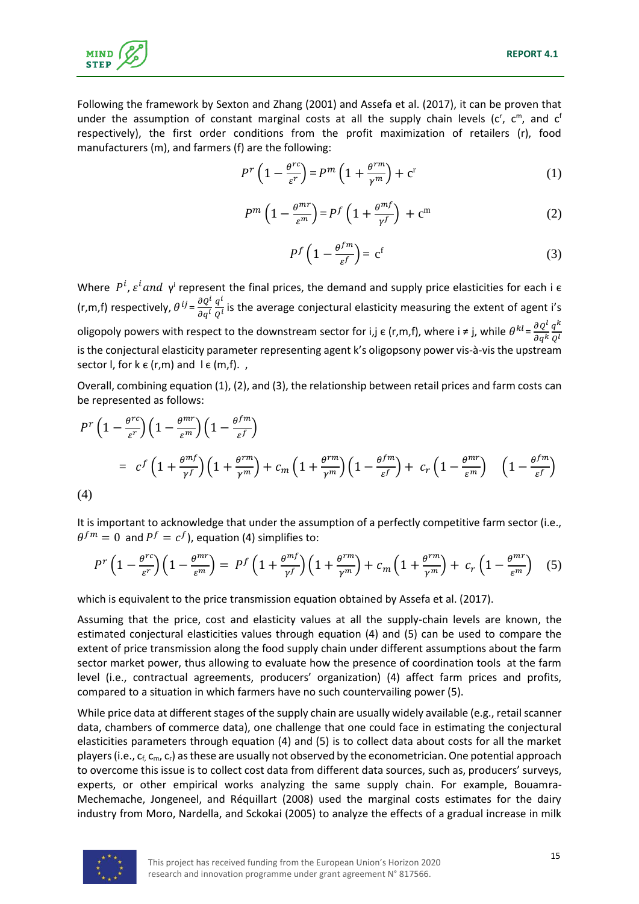

Following the framework by Sexton and Zhang (2001) and Assefa et al. (2017), it can be proven that under the assumption of constant marginal costs at all the supply chain levels (c', c<sup>m</sup>, and c<sup>4</sup> respectively), the first order conditions from the profit maximization of retailers (r), food manufacturers (m), and farmers (f) are the following:

$$
P^{r}\left(1-\frac{\theta^{rc}}{\varepsilon^{r}}\right) = P^{m}\left(1+\frac{\theta^{rm}}{\gamma^{m}}\right) + c^{r}
$$
 (1)

$$
P^{m}\left(1-\frac{\theta^{mr}}{\varepsilon^{m}}\right) = P^{f}\left(1+\frac{\theta^{mf}}{\gamma^{f}}\right) + c^{m}
$$
 (2)

$$
P^f\left(1 - \frac{\theta^{fm}}{\varepsilon^f}\right) = c^f\tag{3}
$$

Where  $P^i$ ,  $\varepsilon^i$  and  $\gamma^i$  represent the final prices, the demand and supply price elasticities for each i  $\varepsilon$ (r,m,f) respectively,  $\theta^{ij} = \frac{\partial Q^i}{\partial q^j}$  $\partial q^i$  $q^i$  $\frac{q}{Q^i}$  is the average conjectural elasticity measuring the extent of agent i's oligopoly powers with respect to the downstream sector for i,j  $\epsilon$  (r,m,f), where i  $\neq$  j, while  $\theta^{kl} = \frac{\partial Q^l}{\partial \alpha^k}$  $\partial q^k$  $q^k$  $Q^l$ is the conjectural elasticity parameter representing agent k's oligopsony power vis-à-vis the upstream sector I, for  $k \in (r,m)$  and  $l \in (m,f)$ .

Overall, combining equation (1), (2), and (3), the relationship between retail prices and farm costs can be represented as follows:

$$
P^r \left(1 - \frac{\theta^{rc}}{\varepsilon^r}\right) \left(1 - \frac{\theta^{mr}}{\varepsilon^m}\right) \left(1 - \frac{\theta^{fm}}{\varepsilon^f}\right)
$$
  
=  $c^f \left(1 + \frac{\theta^{mf}}{\gamma^f}\right) \left(1 + \frac{\theta^{rm}}{\gamma^m}\right) + c_m \left(1 + \frac{\theta^{rm}}{\gamma^m}\right) \left(1 - \frac{\theta^{fm}}{\varepsilon^f}\right) + c_r \left(1 - \frac{\theta^{mr}}{\varepsilon^m}\right) \left(1 - \frac{\theta^{fm}}{\varepsilon^f}\right)$   
(4)

It is important to acknowledge that under the assumption of a perfectly competitive farm sector (i.e.,  $\theta^{fm}=0$  and  $P^f=c^f$ ), equation (4) simplifies to:

$$
P^r \left(1 - \frac{\theta^{rc}}{\varepsilon^r}\right) \left(1 - \frac{\theta^{mr}}{\varepsilon^m}\right) = P^f \left(1 + \frac{\theta^{mf}}{\gamma^f}\right) \left(1 + \frac{\theta^{rm}}{\gamma^m}\right) + c_m \left(1 + \frac{\theta^{rm}}{\gamma^m}\right) + c_r \left(1 - \frac{\theta^{mr}}{\varepsilon^m}\right) \tag{5}
$$

which is equivalent to the price transmission equation obtained by Assefa et al. (2017).

Assuming that the price, cost and elasticity values at all the supply-chain levels are known, the estimated conjectural elasticities values through equation (4) and (5) can be used to compare the extent of price transmission along the food supply chain under different assumptions about the farm sector market power, thus allowing to evaluate how the presence of coordination tools at the farm level (i.e., contractual agreements, producers' organization) (4) affect farm prices and profits, compared to a situation in which farmers have no such countervailing power (5).

While price data at different stages of the supply chain are usually widely available (e.g., retail scanner data, chambers of commerce data), one challenge that one could face in estimating the conjectural elasticities parameters through equation (4) and (5) is to collect data about costs for all the market players (i.e.,  $c_f$ ,  $c_m$ ,  $c_f$ ) as these are usually not observed by the econometrician. One potential approach to overcome this issue is to collect cost data from different data sources, such as, producers' surveys, experts, or other empirical works analyzing the same supply chain. For example, Bouamra-Mechemache, Jongeneel, and Réquillart (2008) used the marginal costs estimates for the dairy industry from Moro, Nardella, and Sckokai (2005) to analyze the effects of a gradual increase in milk

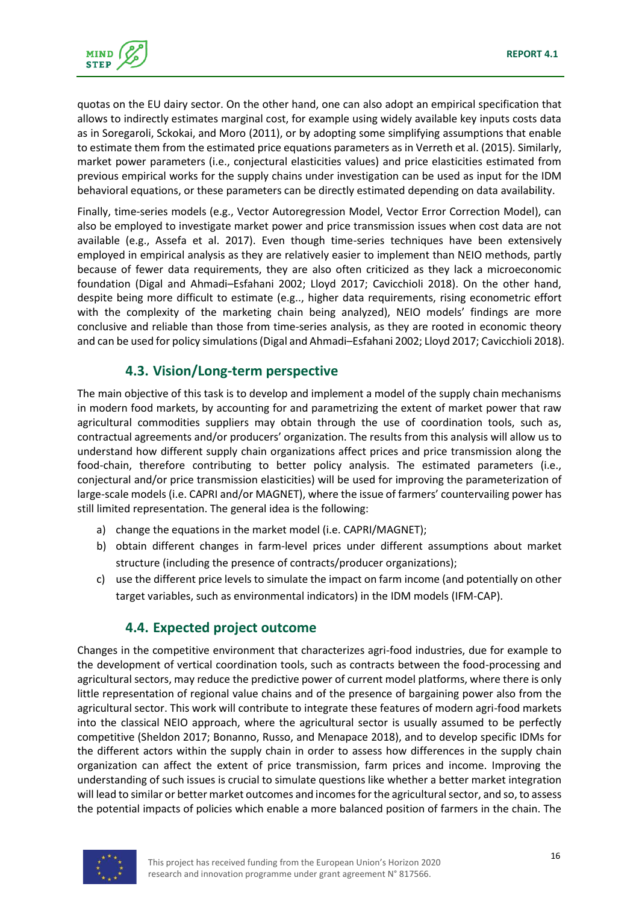

quotas on the EU dairy sector. On the other hand, one can also adopt an empirical specification that allows to indirectly estimates marginal cost, for example using widely available key inputs costs data as in Soregaroli, Sckokai, and Moro (2011), or by adopting some simplifying assumptions that enable to estimate them from the estimated price equations parameters as in Verreth et al. (2015). Similarly, market power parameters (i.e., conjectural elasticities values) and price elasticities estimated from previous empirical works for the supply chains under investigation can be used as input for the IDM behavioral equations, or these parameters can be directly estimated depending on data availability.

Finally, time-series models (e.g., Vector Autoregression Model, Vector Error Correction Model), can also be employed to investigate market power and price transmission issues when cost data are not available (e.g., Assefa et al. 2017). Even though time-series techniques have been extensively employed in empirical analysis as they are relatively easier to implement than NEIO methods, partly because of fewer data requirements, they are also often criticized as they lack a microeconomic foundation (Digal and Ahmadi–Esfahani 2002; Lloyd 2017; Cavicchioli 2018). On the other hand, despite being more difficult to estimate (e.g.., higher data requirements, rising econometric effort with the complexity of the marketing chain being analyzed), NEIO models' findings are more conclusive and reliable than those from time-series analysis, as they are rooted in economic theory and can be used for policy simulations (Digal and Ahmadi–Esfahani 2002; Lloyd 2017; Cavicchioli 2018).

### **4.3. Vision/Long-term perspective**

<span id="page-18-0"></span>The main objective of this task is to develop and implement a model of the supply chain mechanisms in modern food markets, by accounting for and parametrizing the extent of market power that raw agricultural commodities suppliers may obtain through the use of coordination tools, such as, contractual agreements and/or producers' organization. The results from this analysis will allow us to understand how different supply chain organizations affect prices and price transmission along the food-chain, therefore contributing to better policy analysis. The estimated parameters (i.e., conjectural and/or price transmission elasticities) will be used for improving the parameterization of large-scale models (i.e. CAPRI and/or MAGNET), where the issue of farmers' countervailing power has still limited representation. The general idea is the following:

- a) change the equations in the market model (i.e. CAPRI/MAGNET);
- b) obtain different changes in farm-level prices under different assumptions about market structure (including the presence of contracts/producer organizations);
- <span id="page-18-1"></span>c) use the different price levels to simulate the impact on farm income (and potentially on other target variables, such as environmental indicators) in the IDM models (IFM-CAP).

### **4.4. Expected project outcome**

Changes in the competitive environment that characterizes agri-food industries, due for example to the development of vertical coordination tools, such as contracts between the food-processing and agricultural sectors, may reduce the predictive power of current model platforms, where there is only little representation of regional value chains and of the presence of bargaining power also from the agricultural sector. This work will contribute to integrate these features of modern agri-food markets into the classical NEIO approach, where the agricultural sector is usually assumed to be perfectly competitive (Sheldon 2017; Bonanno, Russo, and Menapace 2018), and to develop specific IDMs for the different actors within the supply chain in order to assess how differences in the supply chain organization can affect the extent of price transmission, farm prices and income. Improving the understanding of such issues is crucial to simulate questions like whether a better market integration will lead to similar or better market outcomes and incomes for the agricultural sector, and so, to assess the potential impacts of policies which enable a more balanced position of farmers in the chain. The

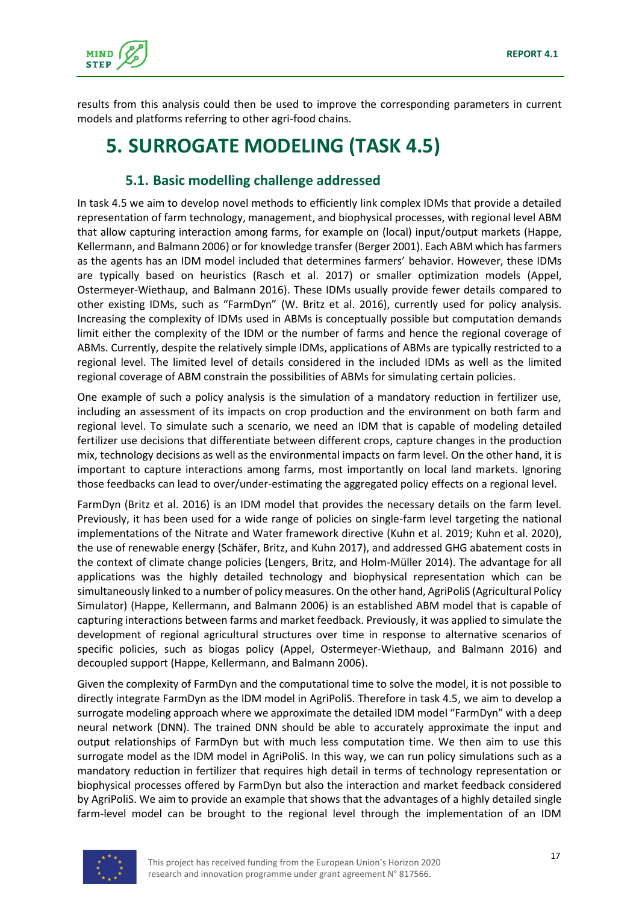

results from this analysis could then be used to improve the corresponding parameters in current models and platforms referring to other agri-food chains.

# <span id="page-19-0"></span>**5. SURROGATE MODELING (TASK 4.5)**

### **5.1. Basic modelling challenge addressed**

<span id="page-19-1"></span>In task 4.5 we aim to develop novel methods to efficiently link complex IDMs that provide a detailed representation of farm technology, management, and biophysical processes, with regional level ABM that allow capturing interaction among farms, for example on (local) input/output markets [\(Happe,](https://paperpile.com/c/cPgipi/mNAc)  [Kellermann, and Balmann 2006\)](https://paperpile.com/c/cPgipi/mNAc) or for knowledge transfe[r \(Berger 2001\).](https://paperpile.com/c/cPgipi/E5HM) Each ABM which has farmers as the agents has an IDM model included that determines farmers' behavior. However, these IDMs are typically based on heuristics [\(Rasch et al. 2017\)](https://paperpile.com/c/cPgipi/x3Go) or smaller optimization models [\(Appel,](https://paperpile.com/c/cPgipi/DZsv)  [Ostermeyer-Wiethaup, and Balmann 2016\).](https://paperpile.com/c/cPgipi/DZsv) These IDMs usually provide fewer details compared to other existing IDMs, such as "FarmDyn" [\(W. Britz et al. 2016\),](https://paperpile.com/c/cPgipi/FXpp) currently used for policy analysis. Increasing the complexity of IDMs used in ABMs is conceptually possible but computation demands limit either the complexity of the IDM or the number of farms and hence the regional coverage of ABMs. Currently, despite the relatively simple IDMs, applications of ABMs are typically restricted to a regional level. The limited level of details considered in the included IDMs as well as the limited regional coverage of ABM constrain the possibilities of ABMs for simulating certain policies.

One example of such a policy analysis is the simulation of a mandatory reduction in fertilizer use, including an assessment of its impacts on crop production and the environment on both farm and regional level. To simulate such a scenario, we need an IDM that is capable of modeling detailed fertilizer use decisions that differentiate between different crops, capture changes in the production mix, technology decisions as well as the environmental impacts on farm level. On the other hand, it is important to capture interactions among farms, most importantly on local land markets. Ignoring those feedbacks can lead to over/under-estimating the aggregated policy effects on a regional level.

FarmDyn [\(Britz et al. 2016\)](https://paperpile.com/c/cPgipi/FXpp) is an IDM model that provides the necessary details on the farm level. Previously, it has been used for a wide range of policies on single-farm level targeting the national implementations of the Nitrate and Water framework directive [\(Kuhn et al. 2019; Kuhn et al. 2020\),](https://paperpile.com/c/cPgipi/UQxQ+JQMr) the use of renewable energy [\(Schäfer, Britz, and Kuhn 2017\),](https://paperpile.com/c/cPgipi/qcaq) and addressed GHG abatement costs in the context of climate change policies [\(Lengers, Britz, and Holm-Müller 2014\).](https://paperpile.com/c/cPgipi/5T5v) The advantage for all applications was the highly detailed technology and biophysical representation which can be simultaneously linked to a number of policy measures. On the other hand, AgriPoliS (Agricultural Policy Simulator) [\(Happe, Kellermann, and Balmann 2006\)](https://paperpile.com/c/cPgipi/mNAc) is an established ABM model that is capable of capturing interactions between farms and market feedback. Previously, it was applied to simulate the development of regional agricultural structures over time in response to alternative scenarios of specific policies, such as biogas policy [\(Appel, Ostermeyer-Wiethaup, and Balmann 2016\)](https://paperpile.com/c/cPgipi/DZsv) and decoupled support [\(Happe, Kellermann, and Balmann 2006\).](https://paperpile.com/c/cPgipi/mNAc)

Given the complexity of FarmDyn and the computational time to solve the model, it is not possible to directly integrate FarmDyn as the IDM model in AgriPoliS. Therefore in task 4.5, we aim to develop a surrogate modeling approach where we approximate the detailed IDM model "FarmDyn" with a deep neural network (DNN). The trained DNN should be able to accurately approximate the input and output relationships of FarmDyn but with much less computation time. We then aim to use this surrogate model as the IDM model in AgriPoliS. In this way, we can run policy simulations such as a mandatory reduction in fertilizer that requires high detail in terms of technology representation or biophysical processes offered by FarmDyn but also the interaction and market feedback considered by AgriPoliS. We aim to provide an example that shows that the advantages of a highly detailed single farm-level model can be brought to the regional level through the implementation of an IDM

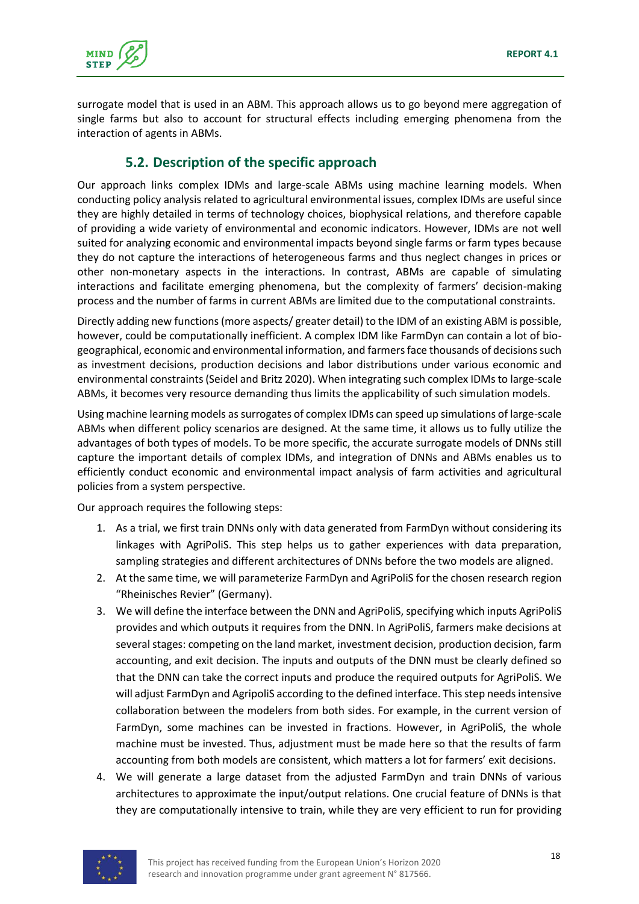

surrogate model that is used in an ABM. This approach allows us to go beyond mere aggregation of single farms but also to account for structural effects including emerging phenomena from the interaction of agents in ABMs.

### **5.2. Description of the specific approach**

<span id="page-20-0"></span>Our approach links complex IDMs and large-scale ABMs using machine learning models. When conducting policy analysis related to agricultural environmental issues, complex IDMs are useful since they are highly detailed in terms of technology choices, biophysical relations, and therefore capable of providing a wide variety of environmental and economic indicators. However, IDMs are not well suited for analyzing economic and environmental impacts beyond single farms or farm types because they do not capture the interactions of heterogeneous farms and thus neglect changes in prices or other non-monetary aspects in the interactions. In contrast, ABMs are capable of simulating interactions and facilitate emerging phenomena, but the complexity of farmers' decision-making process and the number of farms in current ABMs are limited due to the computational constraints.

Directly adding new functions (more aspects/ greater detail) to the IDM of an existing ABM is possible, however, could be computationally inefficient. A complex IDM like FarmDyn can contain a lot of biogeographical, economic and environmental information, and farmers face thousands of decisions such as investment decisions, production decisions and labor distributions under various economic and environmental constraint[s \(Seidel and Britz 2020\).](https://paperpile.com/c/cPgipi/qXaQ) When integrating such complex IDMs to large-scale ABMs, it becomes very resource demanding thus limits the applicability of such simulation models.

Using machine learning models as surrogates of complex IDMs can speed up simulations of large-scale ABMs when different policy scenarios are designed. At the same time, it allows us to fully utilize the advantages of both types of models. To be more specific, the accurate surrogate models of DNNs still capture the important details of complex IDMs, and integration of DNNs and ABMs enables us to efficiently conduct economic and environmental impact analysis of farm activities and agricultural policies from a system perspective.

Our approach requires the following steps:

- 1. As a trial, we first train DNNs only with data generated from FarmDyn without considering its linkages with AgriPoliS. This step helps us to gather experiences with data preparation, sampling strategies and different architectures of DNNs before the two models are aligned.
- 2. At the same time, we will parameterize FarmDyn and AgriPoliS for the chosen research region "[Rheinisches Revier](https://www.land.nrw/de/tags/rheinisches-revier)" (Germany).
- 3. We will define the interface between the DNN and AgriPoliS, specifying which inputs AgriPoliS provides and which outputs it requires from the DNN. In AgriPoliS, farmers make decisions at several stages: competing on the land market, investment decision, production decision, farm accounting, and exit decision. The inputs and outputs of the DNN must be clearly defined so that the DNN can take the correct inputs and produce the required outputs for AgriPoliS. We will adjust FarmDyn and AgripoliS according to the defined interface. This step needs intensive collaboration between the modelers from both sides. For example, in the current version of FarmDyn, some machines can be invested in fractions. However, in AgriPoliS, the whole machine must be invested. Thus, adjustment must be made here so that the results of farm accounting from both models are consistent, which matters a lot for farmers' exit decisions.
- 4. We will generate a large dataset from the adjusted FarmDyn and train DNNs of various architectures to approximate the input/output relations. One crucial feature of DNNs is that they are computationally intensive to train, while they are very efficient to run for providing

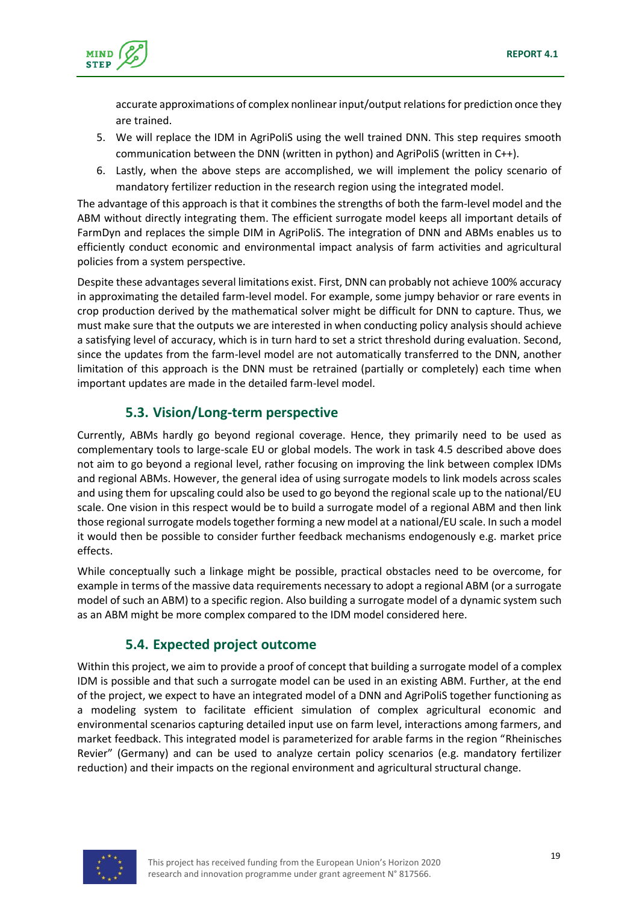

accurate approximations of complex nonlinear input/output relations for prediction once they are trained.

- 5. We will replace the IDM in AgriPoliS using the well trained DNN. This step requires smooth communication between the DNN (written in python) and AgriPoliS (written in C++).
- 6. Lastly, when the above steps are accomplished, we will implement the policy scenario of mandatory fertilizer reduction in the research region using the integrated model.

The advantage of this approach is that it combines the strengths of both the farm-level model and the ABM without directly integrating them. The efficient surrogate model keeps all important details of FarmDyn and replaces the simple DIM in AgriPoliS. The integration of DNN and ABMs enables us to efficiently conduct economic and environmental impact analysis of farm activities and agricultural policies from a system perspective.

Despite these advantages several limitations exist. First, DNN can probably not achieve 100% accuracy in approximating the detailed farm-level model. For example, some jumpy behavior or rare events in crop production derived by the mathematical solver might be difficult for DNN to capture. Thus, we must make sure that the outputs we are interested in when conducting policy analysis should achieve a satisfying level of accuracy, which is in turn hard to set a strict threshold during evaluation. Second, since the updates from the farm-level model are not automatically transferred to the DNN, another limitation of this approach is the DNN must be retrained (partially or completely) each time when important updates are made in the detailed farm-level model.

# **5.3. Vision/Long-term perspective**

<span id="page-21-0"></span>Currently, ABMs hardly go beyond regional coverage. Hence, they primarily need to be used as complementary tools to large-scale EU or global models. The work in task 4.5 described above does not aim to go beyond a regional level, rather focusing on improving the link between complex IDMs and regional ABMs. However, the general idea of using surrogate models to link models across scales and using them for upscaling could also be used to go beyond the regional scale up to the national/EU scale. One vision in this respect would be to build a surrogate model of a regional ABM and then link those regional surrogate models together forming a new model at a national/EU scale. In such a model it would then be possible to consider further feedback mechanisms endogenously e.g. market price effects.

While conceptually such a linkage might be possible, practical obstacles need to be overcome, for example in terms of the massive data requirements necessary to adopt a regional ABM (or a surrogate model of such an ABM) to a specific region. Also building a surrogate model of a dynamic system such as an ABM might be more complex compared to the IDM model considered here.

### **5.4. Expected project outcome**

<span id="page-21-1"></span>Within this project, we aim to provide a proof of concept that building a surrogate model of a complex IDM is possible and that such a surrogate model can be used in an existing ABM. Further, at the end of the project, we expect to have an integrated model of a DNN and AgriPoliS together functioning as a modeling system to facilitate efficient simulation of complex agricultural economic and environmental scenarios capturing detailed input use on farm level, interactions among farmers, and market feedback. This integrated model is parameterized for arable farms in the region "[Rheinisches](https://www.land.nrw/de/tags/rheinisches-revier)  [Revier](https://www.land.nrw/de/tags/rheinisches-revier)" (Germany) and can be used to analyze certain policy scenarios (e.g. mandatory fertilizer reduction) and their impacts on the regional environment and agricultural structural change.

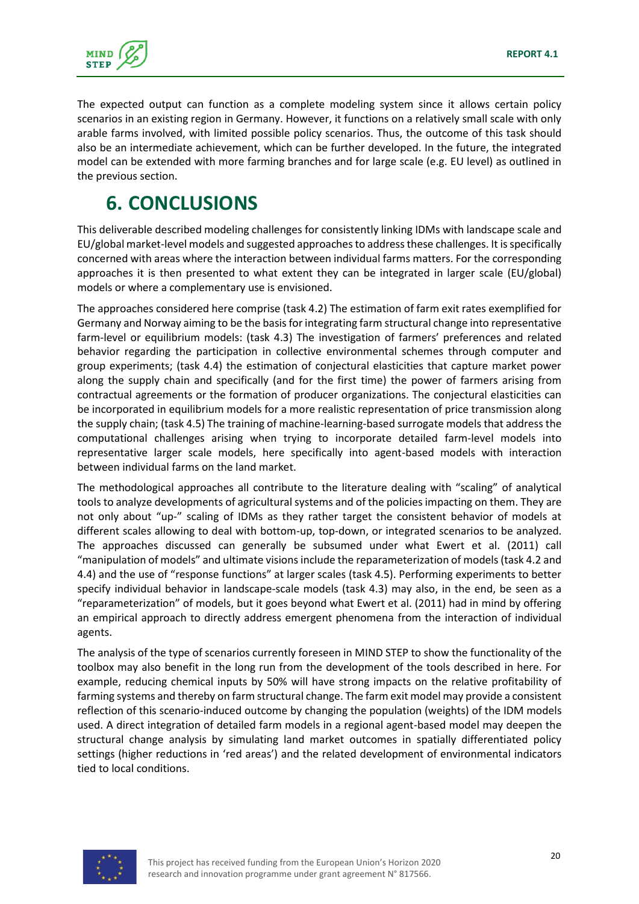

The expected output can function as a complete modeling system since it allows certain policy scenarios in an existing region in Germany. However, it functions on a relatively small scale with only arable farms involved, with limited possible policy scenarios. Thus, the outcome of this task should also be an intermediate achievement, which can be further developed. In the future, the integrated model can be extended with more farming branches and for large scale (e.g. EU level) as outlined in the previous section.

# <span id="page-22-0"></span>**6. CONCLUSIONS**

This deliverable described modeling challenges for consistently linking IDMs with landscape scale and EU/global market-level models and suggested approaches to address these challenges. It is specifically concerned with areas where the interaction between individual farms matters. For the corresponding approaches it is then presented to what extent they can be integrated in larger scale (EU/global) models or where a complementary use is envisioned.

The approaches considered here comprise (task 4.2) The estimation of farm exit rates exemplified for Germany and Norway aiming to be the basis for integrating farm structural change into representative farm-level or equilibrium models: (task 4.3) The investigation of farmers' preferences and related behavior regarding the participation in collective environmental schemes through computer and group experiments; (task 4.4) the estimation of conjectural elasticities that capture market power along the supply chain and specifically (and for the first time) the power of farmers arising from contractual agreements or the formation of producer organizations. The conjectural elasticities can be incorporated in equilibrium models for a more realistic representation of price transmission along the supply chain; (task 4.5) The training of machine-learning-based surrogate models that address the computational challenges arising when trying to incorporate detailed farm-level models into representative larger scale models, here specifically into agent-based models with interaction between individual farms on the land market.

The methodological approaches all contribute to the literature dealing with "scaling" of analytical tools to analyze developments of agricultural systems and of the policies impacting on them. They are not only about "up-" scaling of IDMs as they rather target the consistent behavior of models at different scales allowing to deal with bottom-up, top-down, or integrated scenarios to be analyzed. The approaches discussed can generally be subsumed under what Ewert et al. (2011) call "manipulation of models" and ultimate visions include the reparameterization of models (task 4.2 and 4.4) and the use of "response functions" at larger scales (task 4.5). Performing experiments to better specify individual behavior in landscape-scale models (task 4.3) may also, in the end, be seen as a "reparameterization" of models, but it goes beyond what Ewert et al. (2011) had in mind by offering an empirical approach to directly address emergent phenomena from the interaction of individual agents.

The analysis of the type of scenarios currently foreseen in MIND STEP to show the functionality of the toolbox may also benefit in the long run from the development of the tools described in here. For example, reducing chemical inputs by 50% will have strong impacts on the relative profitability of farming systems and thereby on farm structural change. The farm exit model may provide a consistent reflection of this scenario-induced outcome by changing the population (weights) of the IDM models used. A direct integration of detailed farm models in a regional agent-based model may deepen the structural change analysis by simulating land market outcomes in spatially differentiated policy settings (higher reductions in 'red areas') and the related development of environmental indicators tied to local conditions.

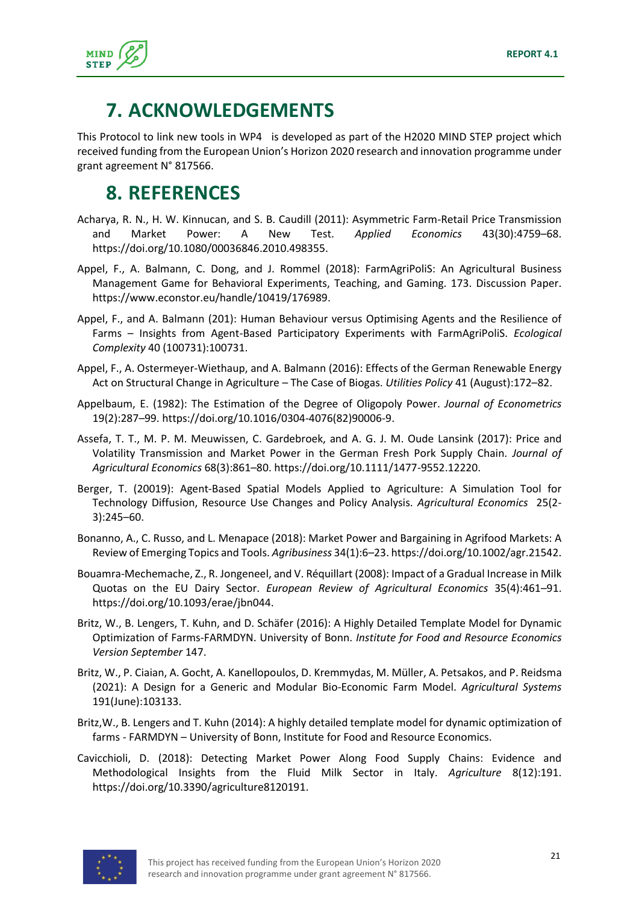

# <span id="page-23-0"></span>**7. ACKNOWLEDGEMENTS**

This Protocol to link new tools in WP4 is developed as part of the H2020 MIND STEP project which received funding from the European Union's Horizon 2020 research and innovation programme under grant agreement N° 817566.

# <span id="page-23-1"></span>**8. REFERENCES**

- Acharya, R. N., H. W. Kinnucan, and S. B. Caudill (2011): Asymmetric Farm-Retail Price Transmission and Market Power: A New Test. *Applied Economics* 43(30):4759–68. https://doi.org/10.1080/00036846.2010.498355.
- Appel, F., A. Balmann, C. Dong, and J. Rommel (2018): [FarmAgriPoliS: An Agricultural Business](http://paperpile.com/b/cPgipi/gVZQ)  [Management Game for Behavioral Experiments, Teaching, and Gaming. 173. Discussion Paper.](http://paperpile.com/b/cPgipi/gVZQ)  <https://www.econstor.eu/handle/10419/176989>[.](http://paperpile.com/b/cPgipi/gVZQ)
- Appel, F., and A. Balmann (201): [Human Behaviour versus Optimising Agents and the Resilience of](http://paperpile.com/b/cPgipi/4dVC)  Farms – [Insights from Agent-Based Participatory Experiments with FarmAgriPoliS.](http://paperpile.com/b/cPgipi/4dVC) *[Ecological](http://paperpile.com/b/cPgipi/4dVC)  [Complexity](http://paperpile.com/b/cPgipi/4dVC)* [40 \(100731\):100731.](http://paperpile.com/b/cPgipi/4dVC)
- Appel, F., A. Ostermeyer-Wiethaup, and A. Balmann (2016): [Effects of the German Renewable Energy](http://paperpile.com/b/cPgipi/DZsv)  [Act on Structural Change in Agriculture](http://paperpile.com/b/cPgipi/DZsv) – The Case of Biogas. *[Utilities Policy](http://paperpile.com/b/cPgipi/DZsv)* [41 \(August\):172](http://paperpile.com/b/cPgipi/DZsv)–82.
- Appelbaum, E. (1982): The Estimation of the Degree of Oligopoly Power. *Journal of Econometrics* 19(2):287–99. https://doi.org/10.1016/0304-4076(82)90006-9.
- Assefa, T. T., M. P. M. Meuwissen, C. Gardebroek, and A. G. J. M. Oude Lansink (2017): Price and Volatility Transmission and Market Power in the German Fresh Pork Supply Chain. *Journal of Agricultural Economics* 68(3):861–80. https://doi.org/10.1111/1477-9552.12220.
- Berger, T. (20019): [Agent-Based Spatial Models Applied to Agriculture: A Simulation Tool for](http://paperpile.com/b/cPgipi/E5HM)  [Technology Diffusion, Resource Use Changes and Policy Analysis.](http://paperpile.com/b/cPgipi/E5HM) *[Agricultural Economics](http://paperpile.com/b/cPgipi/E5HM)* [25\(2-](http://paperpile.com/b/cPgipi/E5HM) [3\):245](http://paperpile.com/b/cPgipi/E5HM)–60.
- Bonanno, A., C. Russo, and L. Menapace (2018): Market Power and Bargaining in Agrifood Markets: A Review of Emerging Topics and Tools. *Agribusiness* 34(1):6–23. https://doi.org/10.1002/agr.21542.
- Bouamra-Mechemache, Z., R. Jongeneel, and V. Réquillart (2008): Impact of a Gradual Increase in Milk Quotas on the EU Dairy Sector. *European Review of Agricultural Economics* 35(4):461–91. https://doi.org/10.1093/erae/jbn044.
- [Britz, W., B. Lengers, T. Kuhn, and D. Schäfer \(2016\):](http://paperpile.com/b/cPgipi/FXpp) A Highly Detailed Template Model for Dynamic [Optimization of Farms-FARMDYN. University of Bonn.](http://paperpile.com/b/cPgipi/FXpp) *[Institute for Food and Resource Economics](http://paperpile.com/b/cPgipi/FXpp)  [Version September](http://paperpile.com/b/cPgipi/FXpp)* [147.](http://paperpile.com/b/cPgipi/FXpp)
- Britz, W., P. Ciaian, A. Gocht, A. [Kanellopoulos, D.](http://paperpile.com/b/cPgipi/ujtM) Kremmydas, M. Müller, A. Petsakos, and P. Reidsma (2021): [A Design for a Generic and Modular Bio-Economic Farm Model.](http://paperpile.com/b/cPgipi/ujtM) *[Agricultural Systems](http://paperpile.com/b/cPgipi/ujtM)* [191\(June\):103133.](http://paperpile.com/b/cPgipi/ujtM)
- Britz,W., B. Lengers and T. Kuhn (2014): A highly detailed template model for dynamic optimization of farms - FARMDYN – University of Bonn, Institute for Food and Resource Economics.
- Cavicchioli, D. (2018): Detecting Market Power Along Food Supply Chains: Evidence and Methodological Insights from the Fluid Milk Sector in Italy. *Agriculture* 8(12):191. https://doi.org/10.3390/agriculture8120191.

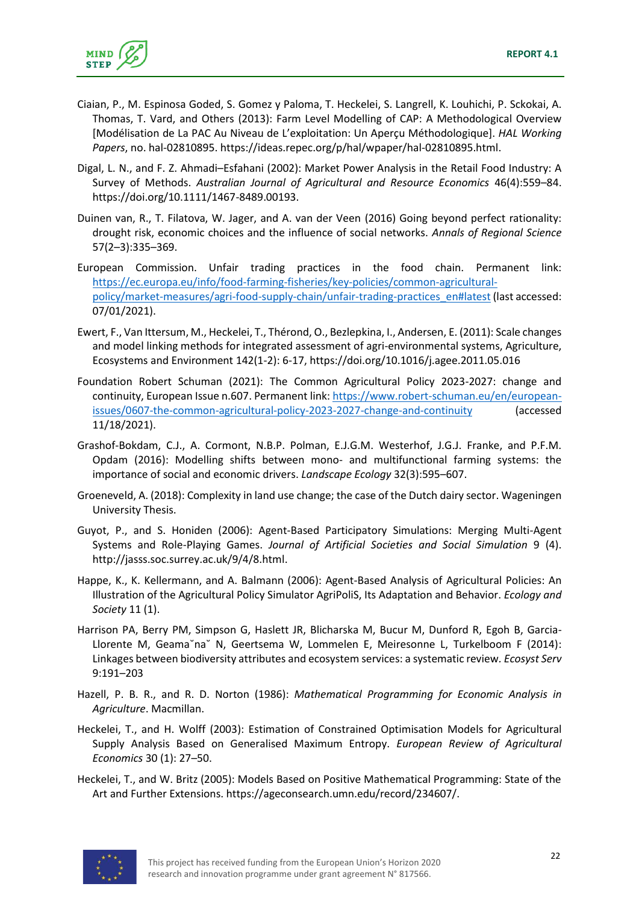

- Ciaian, P., M. Espinosa Goded, S. [Gomez y Paloma, T.](http://paperpile.com/b/cPgipi/TaBc) Heckelei, S. Langrell, K. Louhichi, P. Sckokai, A. Thomas, T. Vard, and Others (2013): [Farm Level Modelling of CAP: A Methodological Overview](http://paperpile.com/b/cPgipi/TaBc)  [\[Modélisation de La PAC Au Niveau de L'exploitation: Un Aperçu Méthodolo](http://paperpile.com/b/cPgipi/TaBc)gique]. *[HAL Working](http://paperpile.com/b/cPgipi/TaBc)  [Papers](http://paperpile.com/b/cPgipi/TaBc)*[, no. hal-02810895.](http://paperpile.com/b/cPgipi/TaBc) <https://ideas.repec.org/p/hal/wpaper/hal-02810895.html>[.](http://paperpile.com/b/cPgipi/TaBc)
- Digal, L. N., and F. Z. Ahmadi–Esfahani (2002): Market Power Analysis in the Retail Food Industry: A Survey of Methods. *Australian Journal of Agricultural and Resource Economics* 46(4):559–84. https://doi.org/10.1111/1467-8489.00193.
- Duinen van, R., T. Filatova, W. Jager, and A. van der Veen (2016) Going beyond perfect rationality: drought risk, economic choices and the influence of social networks. *Annals of Regional Science*  57(2–3):335–369.
- European Commission. Unfair trading practices in the food chain. Permanent link: [https://ec.europa.eu/info/food-farming-fisheries/key-policies/common-agricultural](https://ec.europa.eu/info/food-farming-fisheries/key-policies/common-agricultural-policy/market-measures/agri-food-supply-chain/unfair-trading-practices_en#latest)[policy/market-measures/agri-food-supply-chain/unfair-trading-practices\\_en#latest](https://ec.europa.eu/info/food-farming-fisheries/key-policies/common-agricultural-policy/market-measures/agri-food-supply-chain/unfair-trading-practices_en#latest) (last accessed: 07/01/2021).
- Ewert, F., Van Ittersum, M., Heckelei, T., Thérond, O., Bezlepkina, I., Andersen, E. (2011): Scale changes and model linking methods for integrated assessment of agri-environmental systems, Agriculture, Ecosystems and Environment 142(1-2): 6-17, https://doi.org/10.1016/j.agee.2011.05.016
- Foundation Robert Schuman (2021): The Common Agricultural Policy 2023-2027: change and continuity, European Issue n.607. Permanent link: [https://www.robert-schuman.eu/en/european](https://www.robert-schuman.eu/en/european-issues/0607-the-common-agricultural-policy-2023-2027-change-and-continuity)[issues/0607-the-common-agricultural-policy-2023-2027-change-and-continuity](https://www.robert-schuman.eu/en/european-issues/0607-the-common-agricultural-policy-2023-2027-change-and-continuity) (accessed 11/18/2021).
- Grashof-Bokdam, C.J., A. Cormont, N.B.P. Polman, E.J.G.M. Westerhof, J.G.J. Franke, and P.F.M. Opdam (2016): Modelling shifts between mono- and multifunctional farming systems: the importance of social and economic drivers. *Landscape Ecology* 32(3):595–607.
- Groeneveld, A. (2018): Complexity in land use change; the case of the Dutch dairy sector. Wageningen University Thesis.
- Guyot, P., and S. Honiden (2006): [Agent-Based Participatory Simulations: Merging Multi-Agent](http://paperpile.com/b/cPgipi/lIsU)  [Systems and Role-Playing Games.](http://paperpile.com/b/cPgipi/lIsU) *[Journal of Artificial Societies and Social Simulation](http://paperpile.com/b/cPgipi/lIsU)* [9 \(4\).](http://paperpile.com/b/cPgipi/lIsU)  <http://jasss.soc.surrey.ac.uk/9/4/8.html>[.](http://paperpile.com/b/cPgipi/lIsU)
- Happe, K., K. Kellermann, and A. Balmann (2006): [Agent-Based Analysis of Agricultural Policies: An](http://paperpile.com/b/cPgipi/mNAc)  [Illustration of the Agricultural Policy Simulator AgriPoliS, Its Adaptation and Behavior.](http://paperpile.com/b/cPgipi/mNAc) *[Ecology and](http://paperpile.com/b/cPgipi/mNAc)  [Society](http://paperpile.com/b/cPgipi/mNAc)* [11 \(1\).](http://paperpile.com/b/cPgipi/mNAc)
- Harrison PA, Berry PM, Simpson G, Haslett JR, Blicharska M, Bucur M, Dunford R, Egoh B, Garcia-Llorente M, Geama˘na˘ N, Geertsema W, Lommelen E, Meiresonne L, Turkelboom F (2014): Linkages between biodiversity attributes and ecosystem services: a systematic review*. Ecosyst Serv* 9:191–203
- Hazell, P. B. R., and R. [D. Norton \(1986\):](http://paperpile.com/b/cPgipi/POtt) *[Mathematical Programming for Economic Analysis in](http://paperpile.com/b/cPgipi/POtt)  [Agriculture](http://paperpile.com/b/cPgipi/POtt)*[. Macmillan.](http://paperpile.com/b/cPgipi/POtt)
- Heckelei, T., and H. Wolff (2003): [Estimation of Constrained Optimisation](http://paperpile.com/b/cPgipi/SMPr) Models for Agricultural [Supply Analysis Based on Generalised Maximum Entropy.](http://paperpile.com/b/cPgipi/SMPr) *[European Review of Agricultural](http://paperpile.com/b/cPgipi/SMPr)  [Economics](http://paperpile.com/b/cPgipi/SMPr)* [30 \(1\): 27](http://paperpile.com/b/cPgipi/SMPr)–50.
- [Heckelei, T., and W. Britz \(2005\): Models Based on Positive Mathematical Programming: State of the](file:///C:/personal/wpdocs/MINDSTEP/WP4/task%204.1/Heckelei,%20T.,%20and%20W.%20Britz%20(2005):%20Models%20Based%20on%20Positive%20Mathematical%20Programming:%20State%20of%20the%20Art%20and%20Further%20Extensions)  [Art and Further Extensions.](file:///C:/personal/wpdocs/MINDSTEP/WP4/task%204.1/Heckelei,%20T.,%20and%20W.%20Britz%20(2005):%20Models%20Based%20on%20Positive%20Mathematical%20Programming:%20State%20of%20the%20Art%20and%20Further%20Extensions) <https://ageconsearch.umn.edu/record/234607/>[.](http://paperpile.com/b/cPgipi/BIkn)

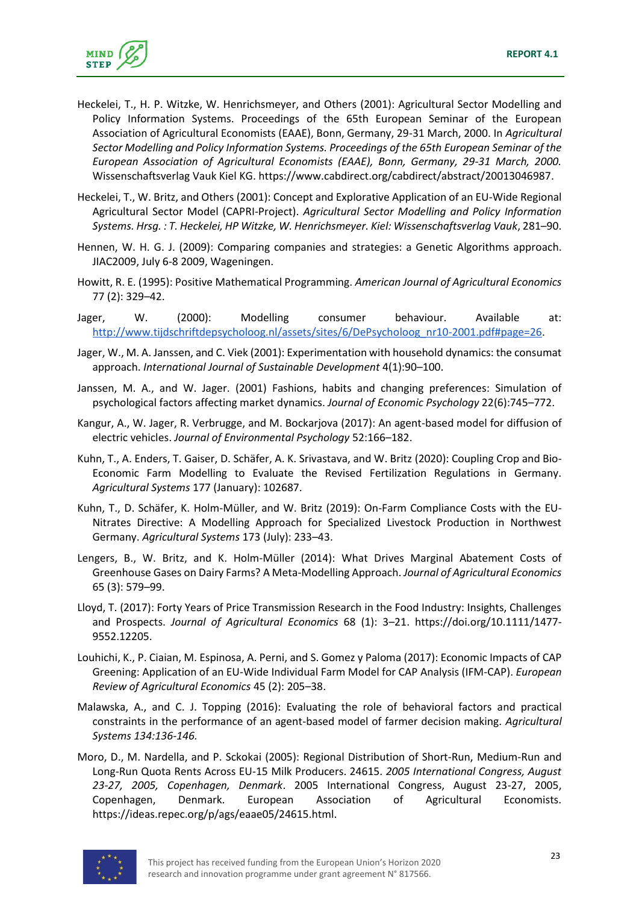

- Heckelei, T., H. P. Witzke, W. [Henrichsmeyer, and Others \(2001\):](http://paperpile.com/b/cPgipi/DjGc) Agricultural Sector Modelling and [Policy Information Systems. Proceedings of the 65th European Seminar of the European](http://paperpile.com/b/cPgipi/DjGc)  [Association of Agricultural Economists \(EAAE\), Bonn, Germany, 29-31 March, 2000. In](http://paperpile.com/b/cPgipi/DjGc) *[Agricultural](http://paperpile.com/b/cPgipi/DjGc)  [Sector Modelling and Policy Information Systems. Proceedings of the 65th European Seminar of the](http://paperpile.com/b/cPgipi/DjGc)  [European Association of Agricultural Economists \(EAAE\), Bonn, Germany, 29-31 March, 2000.](http://paperpile.com/b/cPgipi/DjGc)* [Wissenschaftsverlag Vauk Kiel KG.](http://paperpile.com/b/cPgipi/DjGc) <https://www.cabdirect.org/cabdirect/abstract/20013046987>[.](http://paperpile.com/b/cPgipi/DjGc)
- Heckelei, T., W. Britz, and Others (2001): [Concept and Explorative Application of an EU-Wide Regional](http://paperpile.com/b/cPgipi/Lyos)  [Agricultural Sector Model \(CAPRI-Project\).](http://paperpile.com/b/cPgipi/Lyos) *[Agricultural Sector Modelling and Policy Information](http://paperpile.com/b/cPgipi/Lyos)  [Systems. Hrsg. : T. Heckelei, HP Witzke, W. Henrichsmeyer. Kiel: Wissenschaftsverlag Vauk](http://paperpile.com/b/cPgipi/Lyos)*[, 281](http://paperpile.com/b/cPgipi/Lyos)–90.
- Hennen, W. H. G. J. (2009): Comparing companies and strategies: a Genetic Algorithms approach. JIAC2009, July 6-8 2009, Wageningen.
- Howitt, R. E. (1995): [Positive Mathematical Programming.](http://paperpile.com/b/cPgipi/Zmv3) *[American Journal of Agricultural Economics](http://paperpile.com/b/cPgipi/Zmv3)* [77 \(2\): 329](http://paperpile.com/b/cPgipi/Zmv3)–42.
- Jager, W. (2000): Modelling consumer behaviour. Available at[:](http://www.tijdschriftdepsycholoog.nl/assets/sites/6/DePsycholoog_nr10-2001.pdf#page=26) [http://www.tijdschriftdepsycholoog.nl/assets/sites/6/DePsycholoog\\_nr10-2001.pdf#page=26.](http://www.tijdschriftdepsycholoog.nl/assets/sites/6/DePsycholoog_nr10-2001.pdf#page=26)
- Jager, W., M. A. Janssen, and C. Viek (2001): Experimentation with household dynamics: the consumat approach. *International Journal of Sustainable Development* 4(1):90–100.
- Janssen, M. A., and W. Jager. (2001) Fashions, habits and changing preferences: Simulation of psychological factors affecting market dynamics. *Journal of Economic Psychology* 22(6):745–772.
- Kangur, A., W. Jager, R. Verbrugge, and M. Bockarjova (2017): An agent-based model for diffusion of electric vehicles. *Journal of Environmental Psychology* 52:166–182.
- [Kuhn, T., A. Enders, T. Gaiser, D. Schäfer, A. K. Srivastava, and W. Britz \(2020\):](http://paperpile.com/b/cPgipi/JQMr) Coupling Crop and Bio-[Economic Farm Modelling to Evaluate the Revised Fertilization Regulations in Germany.](http://paperpile.com/b/cPgipi/JQMr)  *[Agricultural Systems](http://paperpile.com/b/cPgipi/JQMr)* [177 \(January\): 102687.](http://paperpile.com/b/cPgipi/JQMr)
- Kuhn, T., D. Schäfer, K. Holm-Müller, and W. Britz (2019): [On-Farm Compliance Costs with the EU-](http://paperpile.com/b/cPgipi/UQxQ)[Nitrates Directive: A Modelling Approach for Specialized Livestock Production in Northwest](http://paperpile.com/b/cPgipi/UQxQ)  [Germany.](http://paperpile.com/b/cPgipi/UQxQ) *[Agricultural Systems](http://paperpile.com/b/cPgipi/UQxQ)* [173 \(July\): 233](http://paperpile.com/b/cPgipi/UQxQ)–43.
- Lengers, B., W. Britz, and K. Holm-Müller (2014): What [Drives Marginal Abatement Costs of](http://paperpile.com/b/cPgipi/5T5v)  [Greenhouse Gases on Dairy Farms? A Meta-Modelling Approach.](http://paperpile.com/b/cPgipi/5T5v) *[Journal of Agricultural Economics](http://paperpile.com/b/cPgipi/5T5v)* [65 \(3\): 579](http://paperpile.com/b/cPgipi/5T5v)–99.
- Lloyd, T. (2017): Forty Years of Price Transmission Research in the Food Industry: Insights, Challenges and Prospects. *Journal of Agricultural Economics* 68 (1): 3–21. https://doi.org/10.1111/1477- 9552.12205.
- Louhichi, K., P. Ciaian, M. Espinosa, A. Perni, and S. Gomez y Paloma (2017): [Economic Impacts of CAP](http://paperpile.com/b/cPgipi/rInH)  [Greening: Application of an EU-Wide Individual Farm Model for CAP Analysis \(IFM-CAP\).](http://paperpile.com/b/cPgipi/rInH) *[European](http://paperpile.com/b/cPgipi/rInH)  [Review of Agricultural Economics](http://paperpile.com/b/cPgipi/rInH)* [45 \(2\): 205](http://paperpile.com/b/cPgipi/rInH)–38.
- Malawska, A., and C. J. Topping (2016): Evaluating the role of behavioral factors and practical constraints in the performance of an agent-based model of farmer decision making. *Agricultural Systems 134:136-146.*
- Moro, D., M. Nardella, and P. Sckokai (2005): Regional Distribution of Short-Run, Medium-Run and Long-Run Quota Rents Across EU-15 Milk Producers. 24615. *2005 International Congress, August 23-27, 2005, Copenhagen, Denmark*. 2005 International Congress, August 23-27, 2005, Copenhagen, Denmark. European Association of Agricultural Economists. https://ideas.repec.org/p/ags/eaae05/24615.html.